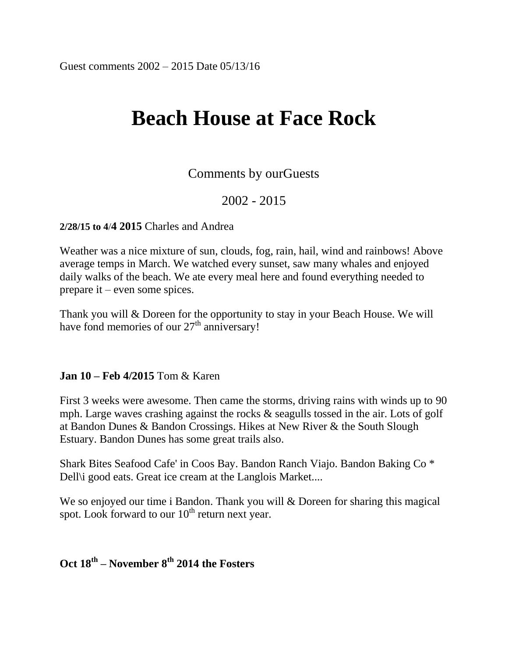# **Beach House at Face Rock**

# Comments by ourGuests

# 2002 - 2015

**2/28/15 to 4**/**4 2015** Charles and Andrea

Weather was a nice mixture of sun, clouds, fog, rain, hail, wind and rainbows! Above average temps in March. We watched every sunset, saw many whales and enjoyed daily walks of the beach. We ate every meal here and found everything needed to prepare it – even some spices.

Thank you will & Doreen for the opportunity to stay in your Beach House. We will have fond memories of our  $27<sup>th</sup>$  anniversary!

### **Jan 10 – Feb 4/2015** Tom & Karen

First 3 weeks were awesome. Then came the storms, driving rains with winds up to 90 mph. Large waves crashing against the rocks & seagulls tossed in the air. Lots of golf at Bandon Dunes & Bandon Crossings. Hikes at New River & the South Slough Estuary. Bandon Dunes has some great trails also.

Shark Bites Seafood Cafe' in Coos Bay. Bandon Ranch Viajo. Bandon Baking Co \* Dell'i good eats. Great ice cream at the Langlois Market....

We so enjoyed our time i Bandon. Thank you will & Doreen for sharing this magical spot. Look forward to our  $10<sup>th</sup>$  return next year.

# **Oct 18th – November 8th 2014 the Fosters**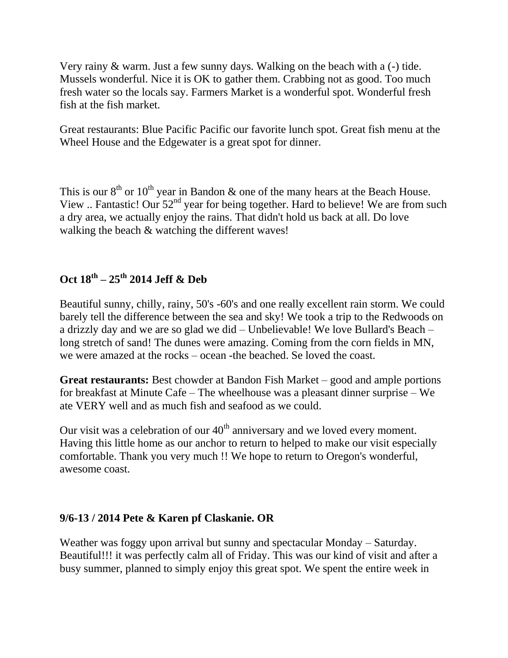Very rainy & warm. Just a few sunny days. Walking on the beach with a (-) tide. Mussels wonderful. Nice it is OK to gather them. Crabbing not as good. Too much fresh water so the locals say. Farmers Market is a wonderful spot. Wonderful fresh fish at the fish market.

Great restaurants: Blue Pacific Pacific our favorite lunch spot. Great fish menu at the Wheel House and the Edgewater is a great spot for dinner.

This is our  $8<sup>th</sup>$  or  $10<sup>th</sup>$  year in Bandon & one of the many hears at the Beach House. View .. Fantastic! Our 52<sup>nd</sup> year for being together. Hard to believe! We are from such a dry area, we actually enjoy the rains. That didn't hold us back at all. Do love walking the beach  $&$  watching the different waves!

# **Oct 18th – 25th 2014 Jeff & Deb**

Beautiful sunny, chilly, rainy, 50's -60's and one really excellent rain storm. We could barely tell the difference between the sea and sky! We took a trip to the Redwoods on a drizzly day and we are so glad we did – Unbelievable! We love Bullard's Beach – long stretch of sand! The dunes were amazing. Coming from the corn fields in MN, we were amazed at the rocks – ocean -the beached. Se loved the coast.

**Great restaurants:** Best chowder at Bandon Fish Market – good and ample portions for breakfast at Minute Cafe – The wheelhouse was a pleasant dinner surprise – We ate VERY well and as much fish and seafood as we could.

Our visit was a celebration of our  $40<sup>th</sup>$  anniversary and we loved every moment. Having this little home as our anchor to return to helped to make our visit especially comfortable. Thank you very much !! We hope to return to Oregon's wonderful, awesome coast.

### **9/6-13 / 2014 Pete & Karen pf Claskanie. OR**

Weather was foggy upon arrival but sunny and spectacular Monday – Saturday. Beautiful!!! it was perfectly calm all of Friday. This was our kind of visit and after a busy summer, planned to simply enjoy this great spot. We spent the entire week in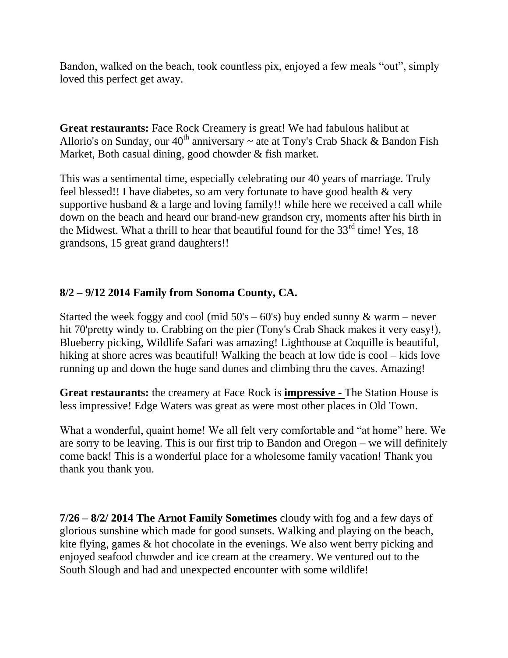Bandon, walked on the beach, took countless pix, enjoyed a few meals "out", simply loved this perfect get away.

**Great restaurants:** Face Rock Creamery is great! We had fabulous halibut at Allorio's on Sunday, our  $40^{th}$  anniversary  $\sim$  ate at Tony's Crab Shack & Bandon Fish Market, Both casual dining, good chowder & fish market.

This was a sentimental time, especially celebrating our 40 years of marriage. Truly feel blessed!! I have diabetes, so am very fortunate to have good health & very supportive husband  $\&$  a large and loving family!! while here we received a call while down on the beach and heard our brand-new grandson cry, moments after his birth in the Midwest. What a thrill to hear that beautiful found for the  $33<sup>rd</sup>$  time! Yes, 18 grandsons, 15 great grand daughters!!

### **8/2 – 9/12 2014 Family from Sonoma County, CA.**

Started the week foggy and cool (mid  $50's - 60's$ ) buy ended sunny & warm – never hit 70'pretty windy to. Crabbing on the pier (Tony's Crab Shack makes it very easy!), Blueberry picking, Wildlife Safari was amazing! Lighthouse at Coquille is beautiful, hiking at shore acres was beautiful! Walking the beach at low tide is cool – kids love running up and down the huge sand dunes and climbing thru the caves. Amazing!

**Great restaurants:** the creamery at Face Rock is **impressive -** The Station House is less impressive! Edge Waters was great as were most other places in Old Town.

What a wonderful, quaint home! We all felt very comfortable and "at home" here. We are sorry to be leaving. This is our first trip to Bandon and Oregon – we will definitely come back! This is a wonderful place for a wholesome family vacation! Thank you thank you thank you.

**7/26 – 8/2/ 2014 The Arnot Family Sometimes** cloudy with fog and a few days of glorious sunshine which made for good sunsets. Walking and playing on the beach, kite flying, games & hot chocolate in the evenings. We also went berry picking and enjoyed seafood chowder and ice cream at the creamery. We ventured out to the South Slough and had and unexpected encounter with some wildlife!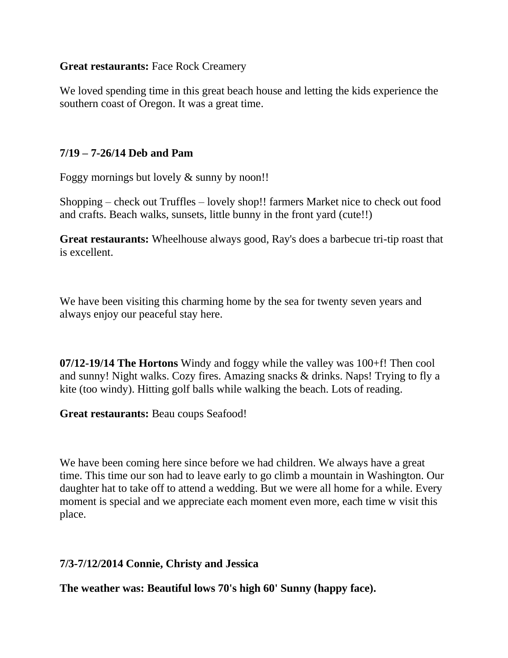#### **Great restaurants:** Face Rock Creamery

We loved spending time in this great beach house and letting the kids experience the southern coast of Oregon. It was a great time.

### **7/19 – 7-26/14 Deb and Pam**

Foggy mornings but lovely & sunny by noon!!

Shopping – check out Truffles – lovely shop!! farmers Market nice to check out food and crafts. Beach walks, sunsets, little bunny in the front yard (cute!!)

**Great restaurants:** Wheelhouse always good, Ray's does a barbecue tri-tip roast that is excellent.

We have been visiting this charming home by the sea for twenty seven years and always enjoy our peaceful stay here.

**07/12-19/14 The Hortons** Windy and foggy while the valley was 100+f! Then cool and sunny! Night walks. Cozy fires. Amazing snacks & drinks. Naps! Trying to fly a kite (too windy). Hitting golf balls while walking the beach. Lots of reading.

**Great restaurants:** Beau coups Seafood!

We have been coming here since before we had children. We always have a great time. This time our son had to leave early to go climb a mountain in Washington. Our daughter hat to take off to attend a wedding. But we were all home for a while. Every moment is special and we appreciate each moment even more, each time w visit this place.

### **7/3-7/12/2014 Connie, Christy and Jessica**

**The weather was: Beautiful lows 70's high 60' Sunny (happy face).**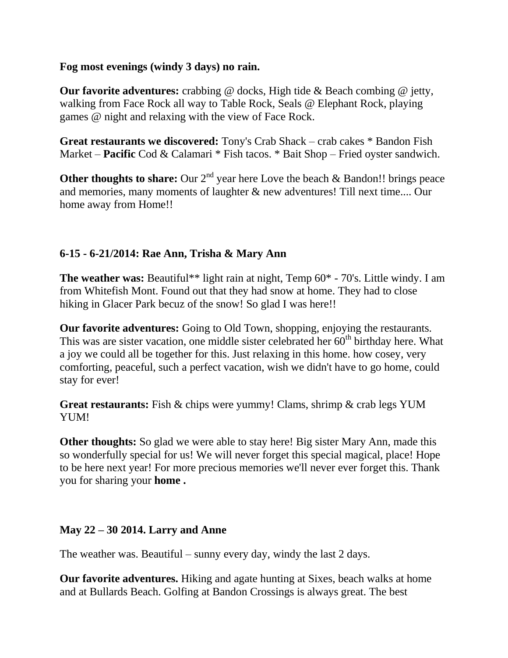#### **Fog most evenings (windy 3 days) no rain.**

**Our favorite adventures:** crabbing @ docks, High tide & Beach combing @ jetty, walking from Face Rock all way to Table Rock, Seals @ Elephant Rock, playing games @ night and relaxing with the view of Face Rock.

**Great restaurants we discovered:** Tony's Crab Shack – crab cakes \* Bandon Fish Market – **Pacific** Cod & Calamari \* Fish tacos. \* Bait Shop – Fried oyster sandwich.

**Other thoughts to share:** Our  $2^{nd}$  year here Love the beach  $\&$  Bandon!! brings peace and memories, many moments of laughter & new adventures! Till next time.... Our home away from Home!!

# **6-15 - 6-21/2014: Rae Ann, Trisha & Mary Ann**

**The weather was:** Beautiful\*\* light rain at night, Temp  $60^*$  - 70's. Little windy. I am from Whitefish Mont. Found out that they had snow at home. They had to close hiking in Glacer Park becuz of the snow! So glad I was here!!

**Our favorite adventures:** Going to Old Town, shopping, enjoying the restaurants. This was are sister vacation, one middle sister celebrated her  $60<sup>th</sup>$  birthday here. What a joy we could all be together for this. Just relaxing in this home. how cosey, very comforting, peaceful, such a perfect vacation, wish we didn't have to go home, could stay for ever!

**Great restaurants:** Fish & chips were yummy! Clams, shrimp & crab legs YUM YUM!

**Other thoughts:** So glad we were able to stay here! Big sister Mary Ann, made this so wonderfully special for us! We will never forget this special magical, place! Hope to be here next year! For more precious memories we'll never ever forget this. Thank you for sharing your **home .**

### **May 22 – 30 2014. Larry and Anne**

The weather was. Beautiful – sunny every day, windy the last 2 days.

**Our favorite adventures.** Hiking and agate hunting at Sixes, beach walks at home and at Bullards Beach. Golfing at Bandon Crossings is always great. The best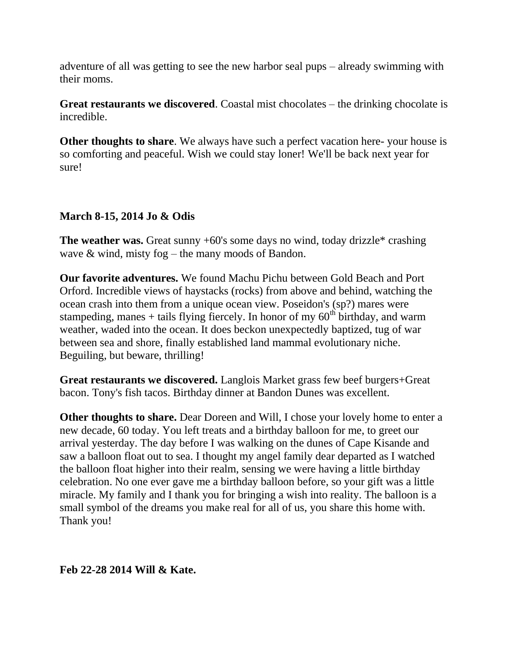adventure of all was getting to see the new harbor seal pups – already swimming with their moms.

**Great restaurants we discovered**. Coastal mist chocolates – the drinking chocolate is incredible.

**Other thoughts to share**. We always have such a perfect vacation here- your house is so comforting and peaceful. Wish we could stay loner! We'll be back next year for sure!

# **March 8-15, 2014 Jo & Odis**

**The weather was.** Great sunny +60's some days no wind, today drizzle\* crashing wave & wind, misty fog – the many moods of Bandon.

**Our favorite adventures.** We found Machu Pichu between Gold Beach and Port Orford. Incredible views of haystacks (rocks) from above and behind, watching the ocean crash into them from a unique ocean view. Poseidon's (sp?) mares were stampeding, manes + tails flying fiercely. In honor of my  $60<sup>th</sup>$  birthday, and warm weather, waded into the ocean. It does beckon unexpectedly baptized, tug of war between sea and shore, finally established land mammal evolutionary niche. Beguiling, but beware, thrilling!

**Great restaurants we discovered.** Langlois Market grass few beef burgers+Great bacon. Tony's fish tacos. Birthday dinner at Bandon Dunes was excellent.

**Other thoughts to share.** Dear Doreen and Will, I chose your lovely home to enter a new decade, 60 today. You left treats and a birthday balloon for me, to greet our arrival yesterday. The day before I was walking on the dunes of Cape Kisande and saw a balloon float out to sea. I thought my angel family dear departed as I watched the balloon float higher into their realm, sensing we were having a little birthday celebration. No one ever gave me a birthday balloon before, so your gift was a little miracle. My family and I thank you for bringing a wish into reality. The balloon is a small symbol of the dreams you make real for all of us, you share this home with. Thank you!

### **Feb 22-28 2014 Will & Kate.**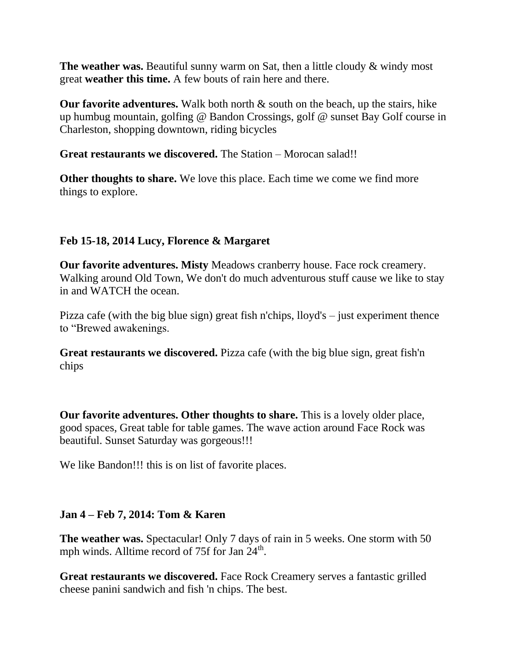**The weather was.** Beautiful sunny warm on Sat, then a little cloudy & windy most great **weather this time.** A few bouts of rain here and there.

**Our favorite adventures.** Walk both north & south on the beach, up the stairs, hike up humbug mountain, golfing @ Bandon Crossings, golf @ sunset Bay Golf course in Charleston, shopping downtown, riding bicycles

**Great restaurants we discovered.** The Station – Morocan salad!!

**Other thoughts to share.** We love this place. Each time we come we find more things to explore.

# **Feb 15-18, 2014 Lucy, Florence & Margaret**

**Our favorite adventures. Misty** Meadows cranberry house. Face rock creamery. Walking around Old Town, We don't do much adventurous stuff cause we like to stay in and WATCH the ocean.

Pizza cafe (with the big blue sign) great fish n'chips, lloyd's – just experiment thence to "Brewed awakenings.

**Great restaurants we discovered.** Pizza cafe (with the big blue sign, great fish'n chips

**Our favorite adventures. Other thoughts to share.** This is a lovely older place, good spaces, Great table for table games. The wave action around Face Rock was beautiful. Sunset Saturday was gorgeous!!!

We like Bandon!!! this is on list of favorite places.

### **Jan 4 – Feb 7, 2014: Tom & Karen**

**The weather was.** Spectacular! Only 7 days of rain in 5 weeks. One storm with 50 mph winds. Alltime record of 75f for Jan 24<sup>th</sup>.

**Great restaurants we discovered.** Face Rock Creamery serves a fantastic grilled cheese panini sandwich and fish 'n chips. The best.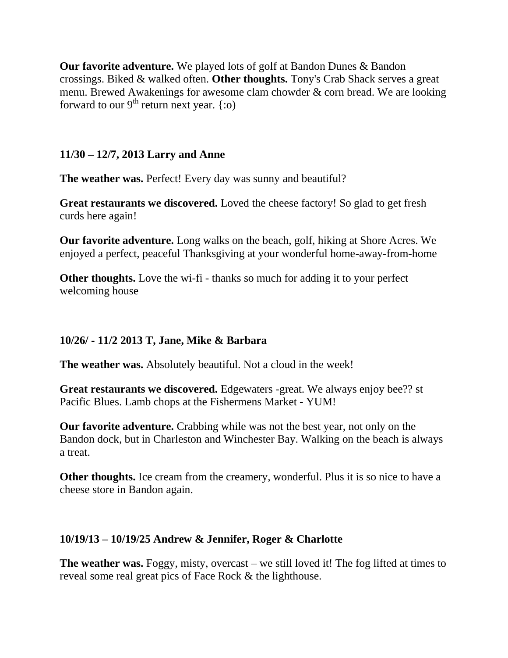**Our favorite adventure.** We played lots of golf at Bandon Dunes & Bandon crossings. Biked & walked often. **Other thoughts.** Tony's Crab Shack serves a great menu. Brewed Awakenings for awesome clam chowder & corn bread. We are looking forward to our  $9<sup>th</sup>$  return next year. {:0)

### **11/30 – 12/7, 2013 Larry and Anne**

**The weather was.** Perfect! Every day was sunny and beautiful?

**Great restaurants we discovered.** Loved the cheese factory! So glad to get fresh curds here again!

**Our favorite adventure.** Long walks on the beach, golf, hiking at Shore Acres. We enjoyed a perfect, peaceful Thanksgiving at your wonderful home-away-from-home

**Other thoughts.** Love the wi-fi-thanks so much for adding it to your perfect welcoming house

### **10/26/ - 11/2 2013 T, Jane, Mike & Barbara**

**The weather was.** Absolutely beautiful. Not a cloud in the week!

**Great restaurants we discovered.** Edgewaters -great. We always enjoy bee?? st Pacific Blues. Lamb chops at the Fishermens Market - YUM!

**Our favorite adventure.** Crabbing while was not the best year, not only on the Bandon dock, but in Charleston and Winchester Bay. Walking on the beach is always a treat.

**Other thoughts.** Ice cream from the creamery, wonderful. Plus it is so nice to have a cheese store in Bandon again.

### **10/19/13 – 10/19/25 Andrew & Jennifer, Roger & Charlotte**

**The weather was.** Foggy, misty, overcast – we still loved it! The fog lifted at times to reveal some real great pics of Face Rock & the lighthouse.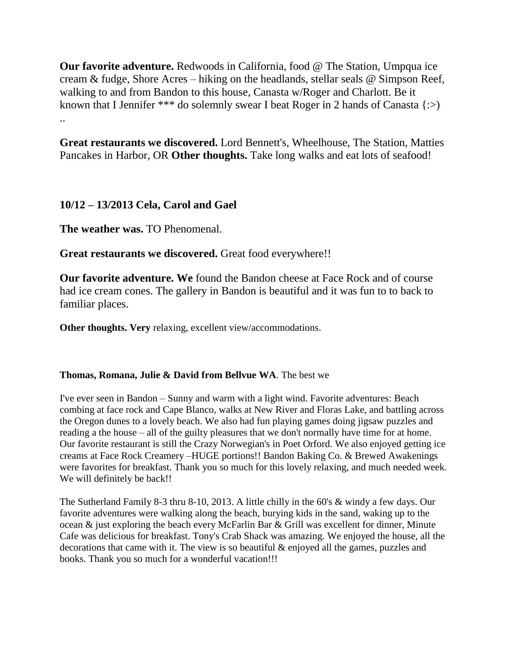**Our favorite adventure.** Redwoods in California, food @ The Station, Umpqua ice cream & fudge, Shore Acres – hiking on the headlands, stellar seals @ Simpson Reef, walking to and from Bandon to this house, Canasta w/Roger and Charlott. Be it known that I Jennifer \*\*\* do solemnly swear I beat Roger in 2 hands of Canasta  $\{ \gg \}$ ..

**Great restaurants we discovered.** Lord Bennett's, Wheelhouse, The Station, Matties Pancakes in Harbor, OR **Other thoughts.** Take long walks and eat lots of seafood!

### **10/12 – 13/2013 Cela, Carol and Gael**

**The weather was. TO Phenomenal.** 

**Great restaurants we discovered.** Great food everywhere!!

**Our favorite adventure. We** found the Bandon cheese at Face Rock and of course had ice cream cones. The gallery in Bandon is beautiful and it was fun to to back to familiar places.

**Other thoughts. Very** relaxing, excellent view/accommodations.

#### **Thomas, Romana, Julie & David from Bellvue WA**. The best we

I've ever seen in Bandon – Sunny and warm with a light wind. Favorite adventures: Beach combing at face rock and Cape Blanco, walks at New River and Floras Lake, and battling across the Oregon dunes to a lovely beach. We also had fun playing games doing jigsaw puzzles and reading a the house – all of the guilty pleasures that we don't normally have time for at home. Our favorite restaurant is still the Crazy Norwegian's in Poet Orford. We also enjoyed getting ice creams at Face Rock Creamery –HUGE portions!! Bandon Baking Co. & Brewed Awakenings were favorites for breakfast. Thank you so much for this lovely relaxing, and much needed week. We will definitely be back!!

The Sutherland Family 8-3 thru 8-10, 2013. A little chilly in the 60's & windy a few days. Our favorite adventures were walking along the beach, burying kids in the sand, waking up to the ocean & just exploring the beach every McFarlin Bar & Grill was excellent for dinner, Minute Cafe was delicious for breakfast. Tony's Crab Shack was amazing. We enjoyed the house, all the decorations that came with it. The view is so beautiful & enjoyed all the games, puzzles and books. Thank you so much for a wonderful vacation!!!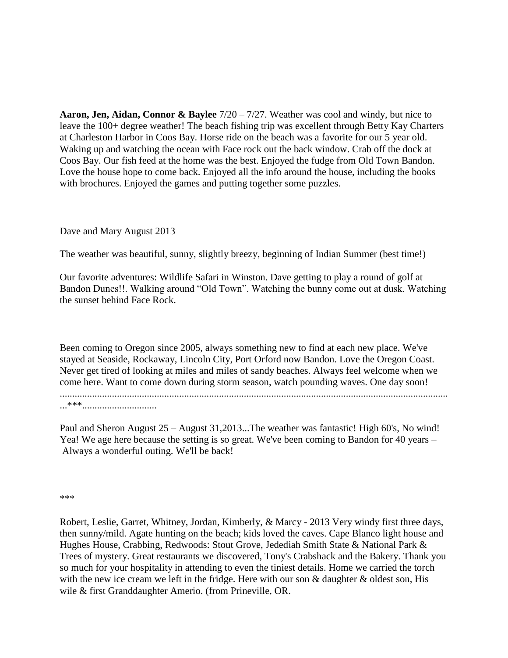**Aaron, Jen, Aidan, Connor & Baylee** 7/20 – 7/27. Weather was cool and windy, but nice to leave the 100+ degree weather! The beach fishing trip was excellent through Betty Kay Charters at Charleston Harbor in Coos Bay. Horse ride on the beach was a favorite for our 5 year old. Waking up and watching the ocean with Face rock out the back window. Crab off the dock at Coos Bay. Our fish feed at the home was the best. Enjoyed the fudge from Old Town Bandon. Love the house hope to come back. Enjoyed all the info around the house, including the books with brochures. Enjoyed the games and putting together some puzzles.

#### Dave and Mary August 2013

The weather was beautiful, sunny, slightly breezy, beginning of Indian Summer (best time!)

Our favorite adventures: Wildlife Safari in Winston. Dave getting to play a round of golf at Bandon Dunes!!. Walking around "Old Town". Watching the bunny come out at dusk. Watching the sunset behind Face Rock.

Been coming to Oregon since 2005, always something new to find at each new place. We've stayed at Seaside, Rockaway, Lincoln City, Port Orford now Bandon. Love the Oregon Coast. Never get tired of looking at miles and miles of sandy beaches. Always feel welcome when we come here. Want to come down during storm season, watch pounding waves. One day soon! ............................................................................................................................................................ ...\*\*\*..............................

Paul and Sheron August 25 – August 31,2013...The weather was fantastic! High 60's, No wind! Yea! We age here because the setting is so great. We've been coming to Bandon for 40 years – Always a wonderful outing. We'll be back!

\*\*\*

Robert, Leslie, Garret, Whitney, Jordan, Kimberly, & Marcy - 2013 Very windy first three days, then sunny/mild. Agate hunting on the beach; kids loved the caves. Cape Blanco light house and Hughes House, Crabbing, Redwoods: Stout Grove, Jedediah Smith State & National Park & Trees of mystery. Great restaurants we discovered, Tony's Crabshack and the Bakery. Thank you so much for your hospitality in attending to even the tiniest details. Home we carried the torch with the new ice cream we left in the fridge. Here with our son & daughter & oldest son, His wile & first Granddaughter Amerio. (from Prineville, OR.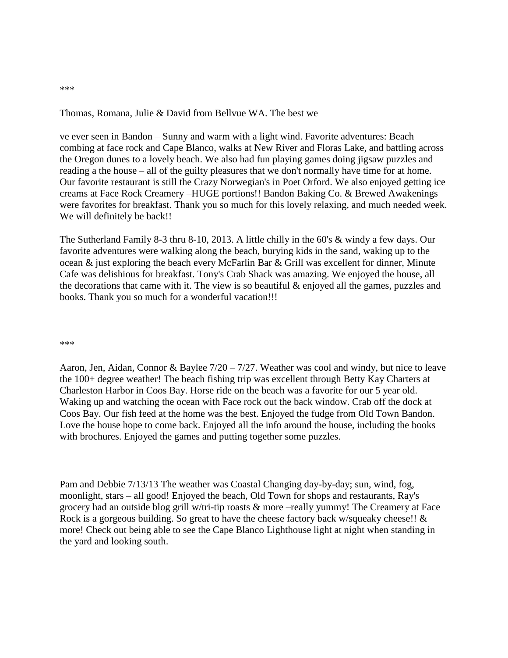#### Thomas, Romana, Julie & David from Bellvue WA. The best we

ve ever seen in Bandon – Sunny and warm with a light wind. Favorite adventures: Beach combing at face rock and Cape Blanco, walks at New River and Floras Lake, and battling across the Oregon dunes to a lovely beach. We also had fun playing games doing jigsaw puzzles and reading a the house – all of the guilty pleasures that we don't normally have time for at home. Our favorite restaurant is still the Crazy Norwegian's in Poet Orford. We also enjoyed getting ice creams at Face Rock Creamery –HUGE portions!! Bandon Baking Co. & Brewed Awakenings were favorites for breakfast. Thank you so much for this lovely relaxing, and much needed week. We will definitely be back!!

The Sutherland Family 8-3 thru 8-10, 2013. A little chilly in the 60's & windy a few days. Our favorite adventures were walking along the beach, burying kids in the sand, waking up to the ocean & just exploring the beach every McFarlin Bar & Grill was excellent for dinner, Minute Cafe was delishious for breakfast. Tony's Crab Shack was amazing. We enjoyed the house, all the decorations that came with it. The view is so beautiful  $\&$  enjoyed all the games, puzzles and books. Thank you so much for a wonderful vacation!!!

#### \*\*\*

Aaron, Jen, Aidan, Connor & Baylee 7/20 – 7/27. Weather was cool and windy, but nice to leave the 100+ degree weather! The beach fishing trip was excellent through Betty Kay Charters at Charleston Harbor in Coos Bay. Horse ride on the beach was a favorite for our 5 year old. Waking up and watching the ocean with Face rock out the back window. Crab off the dock at Coos Bay. Our fish feed at the home was the best. Enjoyed the fudge from Old Town Bandon. Love the house hope to come back. Enjoyed all the info around the house, including the books with brochures. Enjoyed the games and putting together some puzzles.

Pam and Debbie 7/13/13 The weather was Coastal Changing day-by-day; sun, wind, fog, moonlight, stars – all good! Enjoyed the beach, Old Town for shops and restaurants, Ray's grocery had an outside blog grill w/tri-tip roasts & more –really yummy! The Creamery at Face Rock is a gorgeous building. So great to have the cheese factory back w/squeaky cheese!! & more! Check out being able to see the Cape Blanco Lighthouse light at night when standing in the yard and looking south.

#### \*\*\*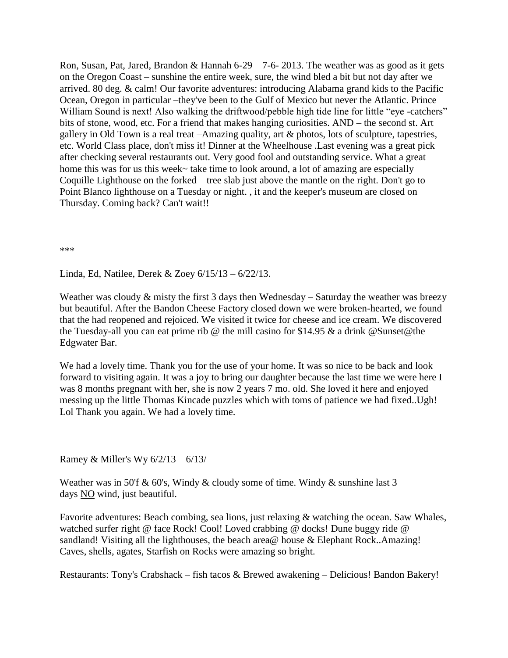Ron, Susan, Pat, Jared, Brandon & Hannah  $6-29-7-6-2013$ . The weather was as good as it gets on the Oregon Coast – sunshine the entire week, sure, the wind bled a bit but not day after we arrived. 80 deg. & calm! Our favorite adventures: introducing Alabama grand kids to the Pacific Ocean, Oregon in particular –they've been to the Gulf of Mexico but never the Atlantic. Prince William Sound is next! Also walking the driftwood/pebble high tide line for little "eye -catchers" bits of stone, wood, etc. For a friend that makes hanging curiosities. AND – the second st. Art gallery in Old Town is a real treat –Amazing quality, art & photos, lots of sculpture, tapestries, etc. World Class place, don't miss it! Dinner at the Wheelhouse .Last evening was a great pick after checking several restaurants out. Very good fool and outstanding service. What a great home this was for us this week~ take time to look around, a lot of amazing are especially Coquille Lighthouse on the forked – tree slab just above the mantle on the right. Don't go to Point Blanco lighthouse on a Tuesday or night. , it and the keeper's museum are closed on Thursday. Coming back? Can't wait!!

\*\*\*

Linda, Ed, Natilee, Derek & Zoey 6/15/13 – 6/22/13.

Weather was cloudy & misty the first 3 days then Wednesday – Saturday the weather was breezy but beautiful. After the Bandon Cheese Factory closed down we were broken-hearted, we found that the had reopened and rejoiced. We visited it twice for cheese and ice cream. We discovered the Tuesday-all you can eat prime rib @ the mill casino for \$14.95 & a drink @Sunset@the Edgwater Bar.

We had a lovely time. Thank you for the use of your home. It was so nice to be back and look forward to visiting again. It was a joy to bring our daughter because the last time we were here I was 8 months pregnant with her, she is now 2 years 7 mo. old. She loved it here and enjoyed messing up the little Thomas Kincade puzzles which with toms of patience we had fixed..Ugh! Lol Thank you again. We had a lovely time.

Ramey & Miller's Wy 6/2/13 – 6/13/

Weather was in 50'f & 60's, Windy & cloudy some of time. Windy & sunshine last 3 days NO wind, just beautiful.

Favorite adventures: Beach combing, sea lions, just relaxing & watching the ocean. Saw Whales, watched surfer right @ face Rock! Cool! Loved crabbing @ docks! Dune buggy ride @ sandland! Visiting all the lighthouses, the beach area@ house & Elephant Rock..Amazing! Caves, shells, agates, Starfish on Rocks were amazing so bright.

Restaurants: Tony's Crabshack – fish tacos & Brewed awakening – Delicious! Bandon Bakery!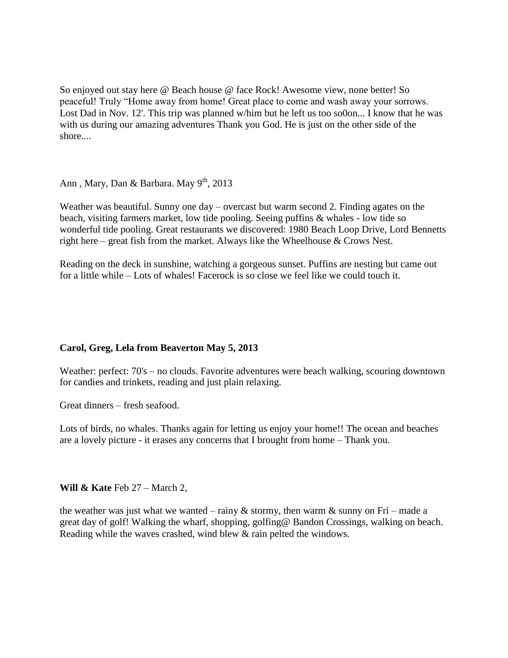So enjoyed out stay here @ Beach house @ face Rock! Awesome view, none better! So peaceful! Truly "Home away from home! Great place to come and wash away your sorrows. Lost Dad in Nov. 12'. This trip was planned w/him but he left us too so0on... I know that he was with us during our amazing adventures Thank you God. He is just on the other side of the shore....

Ann, Mary, Dan & Barbara. May  $9<sup>th</sup>$ , 2013

Weather was beautiful. Sunny one day – overcast but warm second 2. Finding agates on the beach, visiting farmers market, low tide pooling. Seeing puffins & whales - low tide so wonderful tide pooling. Great restaurants we discovered: 1980 Beach Loop Drive, Lord Bennetts right here – great fish from the market. Always like the Wheelhouse & Crows Nest.

Reading on the deck in sunshine, watching a gorgeous sunset. Puffins are nesting but came out for a little while – Lots of whales! Facerock is so close we feel like we could touch it.

#### **Carol, Greg, Lela from Beaverton May 5, 2013**

Weather: perfect: 70's – no clouds. Favorite adventures were beach walking, scouring downtown for candies and trinkets, reading and just plain relaxing.

Great dinners – fresh seafood.

Lots of birds, no whales. Thanks again for letting us enjoy your home!! The ocean and beaches are a lovely picture - it erases any concerns that I brought from home – Thank you.

**Will & Kate** Feb 27 – March 2,

the weather was just what we wanted – rainy & stormy, then warm & sunny on Fri – made a great day of golf! Walking the wharf, shopping, golfing@ Bandon Crossings, walking on beach. Reading while the waves crashed, wind blew & rain pelted the windows.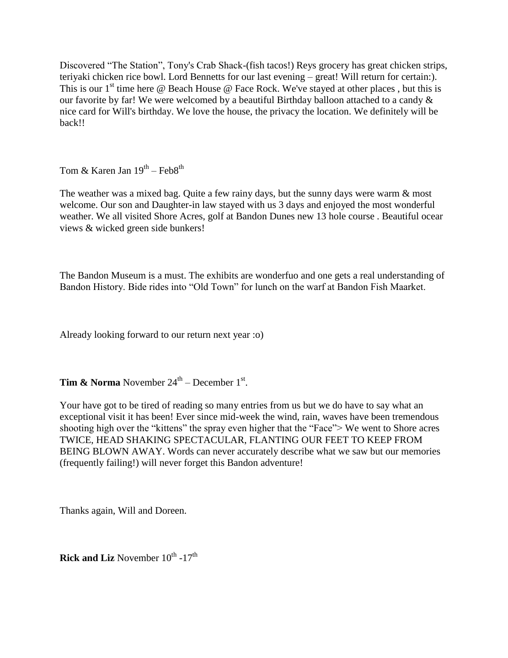Discovered "The Station", Tony's Crab Shack-(fish tacos!) Reys grocery has great chicken strips, teriyaki chicken rice bowl. Lord Bennetts for our last evening – great! Will return for certain:). This is our  $1<sup>st</sup>$  time here @ Beach House @ Face Rock. We've stayed at other places, but this is our favorite by far! We were welcomed by a beautiful Birthday balloon attached to a candy & nice card for Will's birthday. We love the house, the privacy the location. We definitely will be back!!

Tom & Karen Jan  $19^{\text{th}}$  – Feb $8^{\text{th}}$ 

The weather was a mixed bag. Quite a few rainy days, but the sunny days were warm & most welcome. Our son and Daughter-in law stayed with us 3 days and enjoyed the most wonderful weather. We all visited Shore Acres, golf at Bandon Dunes new 13 hole course . Beautiful ocear views & wicked green side bunkers!

The Bandon Museum is a must. The exhibits are wonderfuo and one gets a real understanding of Bandon History. Bide rides into "Old Town" for lunch on the warf at Bandon Fish Maarket.

Already looking forward to our return next year :o)

**Tim & Norma** November  $24^{\text{th}}$  – December  $1^{\text{st}}$ .

Your have got to be tired of reading so many entries from us but we do have to say what an exceptional visit it has been! Ever since mid-week the wind, rain, waves have been tremendous shooting high over the "kittens" the spray even higher that the "Face"> We went to Shore acres TWICE, HEAD SHAKING SPECTACULAR, FLANTING OUR FEET TO KEEP FROM BEING BLOWN AWAY. Words can never accurately describe what we saw but our memories (frequently failing!) will never forget this Bandon adventure!

Thanks again, Will and Doreen.

**Rick and Liz** November 10<sup>th</sup> -17<sup>th</sup>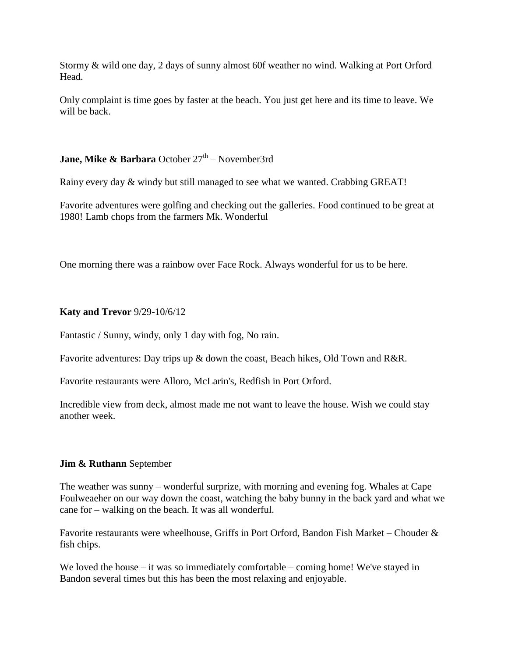Stormy & wild one day, 2 days of sunny almost 60f weather no wind. Walking at Port Orford Head.

Only complaint is time goes by faster at the beach. You just get here and its time to leave. We will be back.

#### **Jane, Mike & Barbara** October 27<sup>th</sup> – November3rd

Rainy every day & windy but still managed to see what we wanted. Crabbing GREAT!

Favorite adventures were golfing and checking out the galleries. Food continued to be great at 1980! Lamb chops from the farmers Mk. Wonderful

One morning there was a rainbow over Face Rock. Always wonderful for us to be here.

#### **Katy and Trevor** 9/29-10/6/12

Fantastic / Sunny, windy, only 1 day with fog, No rain.

Favorite adventures: Day trips up & down the coast, Beach hikes, Old Town and R&R.

Favorite restaurants were Alloro, McLarin's, Redfish in Port Orford.

Incredible view from deck, almost made me not want to leave the house. Wish we could stay another week.

#### **Jim & Ruthann** September

The weather was sunny – wonderful surprize, with morning and evening fog. Whales at Cape Foulweaeher on our way down the coast, watching the baby bunny in the back yard and what we cane for – walking on the beach. It was all wonderful.

Favorite restaurants were wheelhouse, Griffs in Port Orford, Bandon Fish Market – Chouder & fish chips.

We loved the house – it was so immediately comfortable – coming home! We've stayed in Bandon several times but this has been the most relaxing and enjoyable.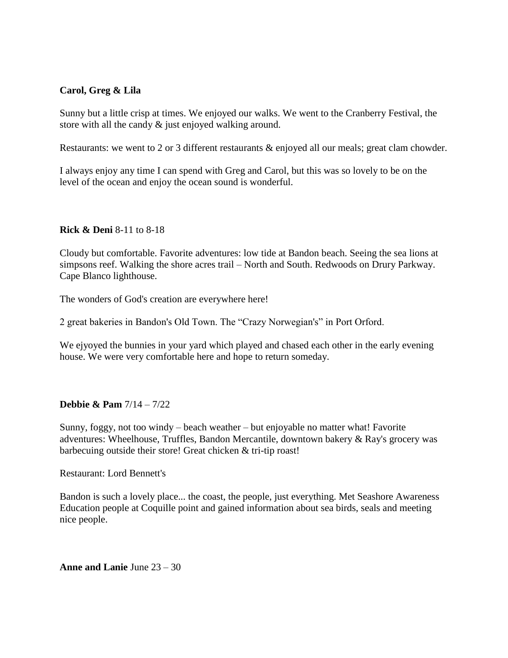#### **Carol, Greg & Lila**

Sunny but a little crisp at times. We enjoyed our walks. We went to the Cranberry Festival, the store with all the candy & just enjoyed walking around.

Restaurants: we went to 2 or 3 different restaurants & enjoyed all our meals; great clam chowder.

I always enjoy any time I can spend with Greg and Carol, but this was so lovely to be on the level of the ocean and enjoy the ocean sound is wonderful.

#### **Rick & Deni** 8-11 to 8-18

Cloudy but comfortable. Favorite adventures: low tide at Bandon beach. Seeing the sea lions at simpsons reef. Walking the shore acres trail – North and South. Redwoods on Drury Parkway. Cape Blanco lighthouse.

The wonders of God's creation are everywhere here!

2 great bakeries in Bandon's Old Town. The "Crazy Norwegian's" in Port Orford.

We ejyoyed the bunnies in your yard which played and chased each other in the early evening house. We were very comfortable here and hope to return someday.

#### **Debbie & Pam** 7/14 – 7/22

Sunny, foggy, not too windy – beach weather – but enjoyable no matter what! Favorite adventures: Wheelhouse, Truffles, Bandon Mercantile, downtown bakery & Ray's grocery was barbecuing outside their store! Great chicken & tri-tip roast!

Restaurant: Lord Bennett's

Bandon is such a lovely place... the coast, the people, just everything. Met Seashore Awareness Education people at Coquille point and gained information about sea birds, seals and meeting nice people.

**Anne and Lanie** June 23 – 30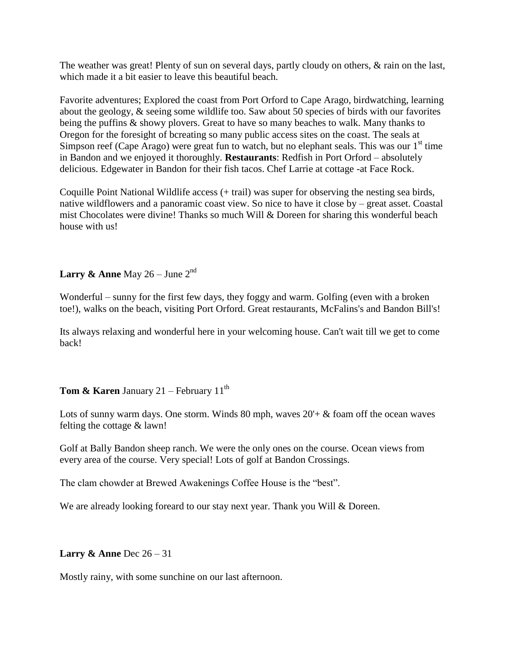The weather was great! Plenty of sun on several days, partly cloudy on others, & rain on the last, which made it a bit easier to leave this beautiful beach.

Favorite adventures; Explored the coast from Port Orford to Cape Arago, birdwatching, learning about the geology, & seeing some wildlife too. Saw about 50 species of birds with our favorites being the puffins & showy plovers. Great to have so many beaches to walk. Many thanks to Oregon for the foresight of bcreating so many public access sites on the coast. The seals at Simpson reef (Cape Arago) were great fun to watch, but no elephant seals. This was our  $1<sup>st</sup>$  time in Bandon and we enjoyed it thoroughly. **Restaurants**: Redfish in Port Orford – absolutely delicious. Edgewater in Bandon for their fish tacos. Chef Larrie at cottage -at Face Rock.

Coquille Point National Wildlife access (+ trail) was super for observing the nesting sea birds, native wildflowers and a panoramic coast view. So nice to have it close by – great asset. Coastal mist Chocolates were divine! Thanks so much Will & Doreen for sharing this wonderful beach house with us!

#### **Larry & Anne** May  $26 -$  June  $2^{nd}$

Wonderful – sunny for the first few days, they foggy and warm. Golfing (even with a broken toe!), walks on the beach, visiting Port Orford. Great restaurants, McFalins's and Bandon Bill's!

Its always relaxing and wonderful here in your welcoming house. Can't wait till we get to come back!

#### **Tom & Karen** January 21 – February 11<sup>th</sup>

Lots of sunny warm days. One storm. Winds 80 mph, waves  $20'+\&$  foam off the ocean waves felting the cottage & lawn!

Golf at Bally Bandon sheep ranch. We were the only ones on the course. Ocean views from every area of the course. Very special! Lots of golf at Bandon Crossings.

The clam chowder at Brewed Awakenings Coffee House is the "best".

We are already looking foreard to our stay next year. Thank you Will & Doreen.

#### **Larry & Anne** Dec 26 – 31

Mostly rainy, with some sunchine on our last afternoon.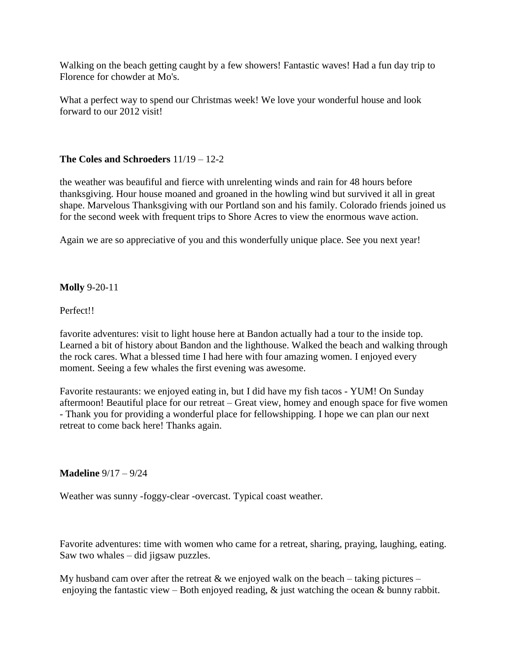Walking on the beach getting caught by a few showers! Fantastic waves! Had a fun day trip to Florence for chowder at Mo's.

What a perfect way to spend our Christmas week! We love your wonderful house and look forward to our 2012 visit!

#### **The Coles and Schroeders** 11/19 – 12-2

the weather was beaufiful and fierce with unrelenting winds and rain for 48 hours before thanksgiving. Hour house moaned and groaned in the howling wind but survived it all in great shape. Marvelous Thanksgiving with our Portland son and his family. Colorado friends joined us for the second week with frequent trips to Shore Acres to view the enormous wave action.

Again we are so appreciative of you and this wonderfully unique place. See you next year!

#### **Molly** 9-20-11

Perfect!!

favorite adventures: visit to light house here at Bandon actually had a tour to the inside top. Learned a bit of history about Bandon and the lighthouse. Walked the beach and walking through the rock cares. What a blessed time I had here with four amazing women. I enjoyed every moment. Seeing a few whales the first evening was awesome.

Favorite restaurants: we enjoyed eating in, but I did have my fish tacos - YUM! On Sunday aftermoon! Beautiful place for our retreat – Great view, homey and enough space for five women - Thank you for providing a wonderful place for fellowshipping. I hope we can plan our next retreat to come back here! Thanks again.

#### **Madeline** 9/17 – 9/24

Weather was sunny -foggy-clear -overcast. Typical coast weather.

Favorite adventures: time with women who came for a retreat, sharing, praying, laughing, eating. Saw two whales – did jigsaw puzzles.

My husband cam over after the retreat  $\&$  we enjoyed walk on the beach – taking pictures – enjoying the fantastic view – Both enjoyed reading,  $\&$  just watching the ocean  $\&$  bunny rabbit.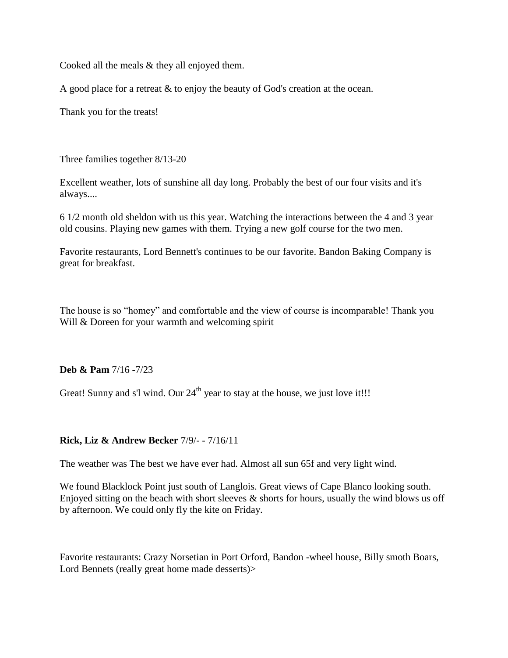Cooked all the meals & they all enjoyed them.

A good place for a retreat & to enjoy the beauty of God's creation at the ocean.

Thank you for the treats!

Three families together 8/13-20

Excellent weather, lots of sunshine all day long. Probably the best of our four visits and it's always....

6 1/2 month old sheldon with us this year. Watching the interactions between the 4 and 3 year old cousins. Playing new games with them. Trying a new golf course for the two men.

Favorite restaurants, Lord Bennett's continues to be our favorite. Bandon Baking Company is great for breakfast.

The house is so "homey" and comfortable and the view of course is incomparable! Thank you Will & Doreen for your warmth and welcoming spirit

**Deb & Pam** 7/16 -7/23

Great! Sunny and s'l wind. Our  $24<sup>th</sup>$  year to stay at the house, we just love it!!!

#### **Rick, Liz & Andrew Becker** 7/9/- - 7/16/11

The weather was The best we have ever had. Almost all sun 65f and very light wind.

We found Blacklock Point just south of Langlois. Great views of Cape Blanco looking south. Enjoyed sitting on the beach with short sleeves  $\&$  shorts for hours, usually the wind blows us off by afternoon. We could only fly the kite on Friday.

Favorite restaurants: Crazy Norsetian in Port Orford, Bandon -wheel house, Billy smoth Boars, Lord Bennets (really great home made desserts)>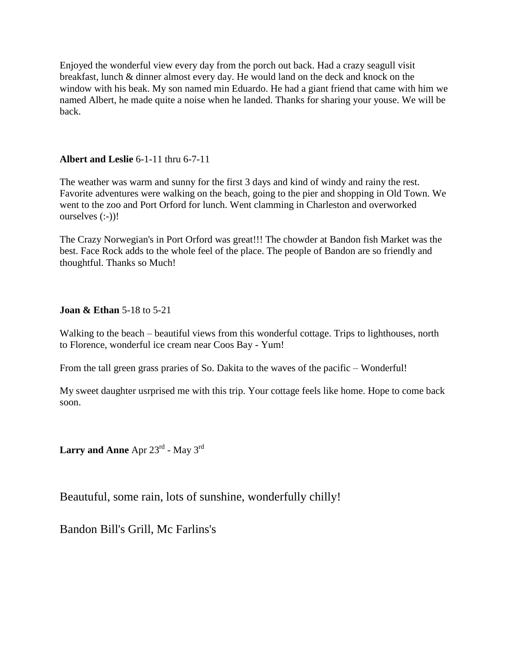Enjoyed the wonderful view every day from the porch out back. Had a crazy seagull visit breakfast, lunch & dinner almost every day. He would land on the deck and knock on the window with his beak. My son named min Eduardo. He had a giant friend that came with him we named Albert, he made quite a noise when he landed. Thanks for sharing your youse. We will be back.

#### **Albert and Leslie** 6-1-11 thru 6-7-11

The weather was warm and sunny for the first 3 days and kind of windy and rainy the rest. Favorite adventures were walking on the beach, going to the pier and shopping in Old Town. We went to the zoo and Port Orford for lunch. Went clamming in Charleston and overworked ourselves (:-))!

The Crazy Norwegian's in Port Orford was great!!! The chowder at Bandon fish Market was the best. Face Rock adds to the whole feel of the place. The people of Bandon are so friendly and thoughtful. Thanks so Much!

#### **Joan & Ethan** 5-18 to 5-21

Walking to the beach – beautiful views from this wonderful cottage. Trips to lighthouses, north to Florence, wonderful ice cream near Coos Bay - Yum!

From the tall green grass praries of So. Dakita to the waves of the pacific – Wonderful!

My sweet daughter usrprised me with this trip. Your cottage feels like home. Hope to come back soon.

**Larry and Anne** Apr 23rd - May 3rd

Beautuful, some rain, lots of sunshine, wonderfully chilly!

Bandon Bill's Grill, Mc Farlins's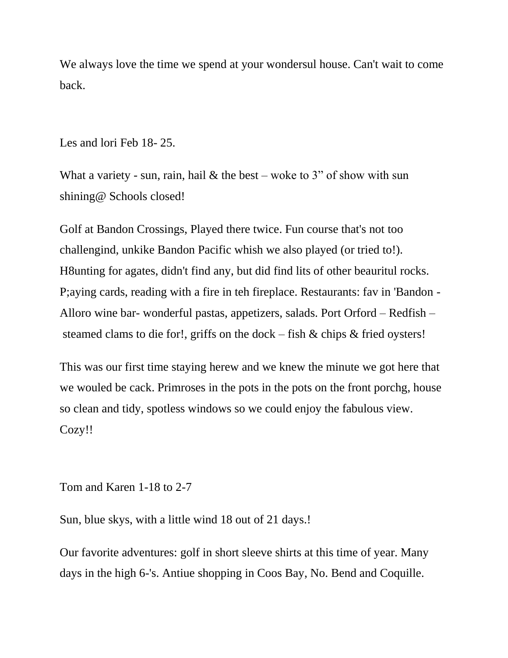We always love the time we spend at your wondersul house. Can't wait to come back.

Les and lori Feb 18- 25.

What a variety - sun, rain, hail  $&$  the best – woke to 3" of show with sun shining@ Schools closed!

Golf at Bandon Crossings, Played there twice. Fun course that's not too challengind, unkike Bandon Pacific whish we also played (or tried to!). H8unting for agates, didn't find any, but did find lits of other beauritul rocks. P;aying cards, reading with a fire in teh fireplace. Restaurants: fav in 'Bandon - Alloro wine bar- wonderful pastas, appetizers, salads. Port Orford – Redfish – steamed clams to die for!, griffs on the dock – fish & chips & fried oysters!

This was our first time staying herew and we knew the minute we got here that we wouled be cack. Primroses in the pots in the pots on the front porchg, house so clean and tidy, spotless windows so we could enjoy the fabulous view. Cozy!!

Tom and Karen 1-18 to 2-7

Sun, blue skys, with a little wind 18 out of 21 days.!

Our favorite adventures: golf in short sleeve shirts at this time of year. Many days in the high 6-'s. Antiue shopping in Coos Bay, No. Bend and Coquille.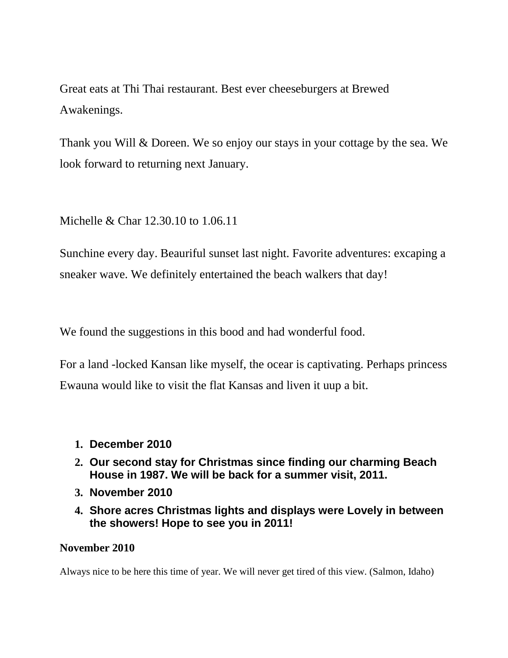Great eats at Thi Thai restaurant. Best ever cheeseburgers at Brewed Awakenings.

Thank you Will & Doreen. We so enjoy our stays in your cottage by the sea. We look forward to returning next January.

Michelle & Char 12.30.10 to 1.06.11

Sunchine every day. Beauriful sunset last night. Favorite adventures: excaping a sneaker wave. We definitely entertained the beach walkers that day!

We found the suggestions in this bood and had wonderful food.

For a land -locked Kansan like myself, the ocear is captivating. Perhaps princess Ewauna would like to visit the flat Kansas and liven it uup a bit.

- **1. December 2010**
- **2. Our second stay for Christmas since finding our charming Beach House in 1987. We will be back for a summer visit, 2011.**
- **3. November 2010**
- **4. Shore acres Christmas lights and displays were Lovely in between the showers! Hope to see you in 2011!**

### **November 2010**

Always nice to be here this time of year. We will never get tired of this view. (Salmon, Idaho)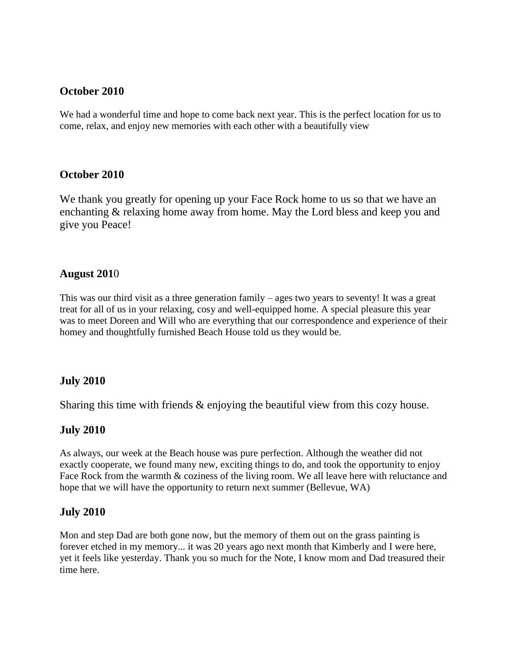#### **October 2010**

We had a wonderful time and hope to come back next year. This is the perfect location for us to come, relax, and enjoy new memories with each other with a beautifully view

#### **October 2010**

We thank you greatly for opening up your Face Rock home to us so that we have an enchanting & relaxing home away from home. May the Lord bless and keep you and give you Peace!

#### **August 201**0

This was our third visit as a three generation family – ages two years to seventy! It was a great treat for all of us in your relaxing, cosy and well-equipped home. A special pleasure this year was to meet Doreen and Will who are everything that our correspondence and experience of their homey and thoughtfully furnished Beach House told us they would be.

#### **July 2010**

Sharing this time with friends & enjoying the beautiful view from this cozy house.

#### **July 2010**

As always, our week at the Beach house was pure perfection. Although the weather did not exactly cooperate, we found many new, exciting things to do, and took the opportunity to enjoy Face Rock from the warmth & coziness of the living room. We all leave here with reluctance and hope that we will have the opportunity to return next summer (Bellevue, WA)

#### **July 2010**

Mon and step Dad are both gone now, but the memory of them out on the grass painting is forever etched in my memory... it was 20 years ago next month that Kimberly and I were here, yet it feels like yesterday. Thank you so much for the Note, I know mom and Dad treasured their time here.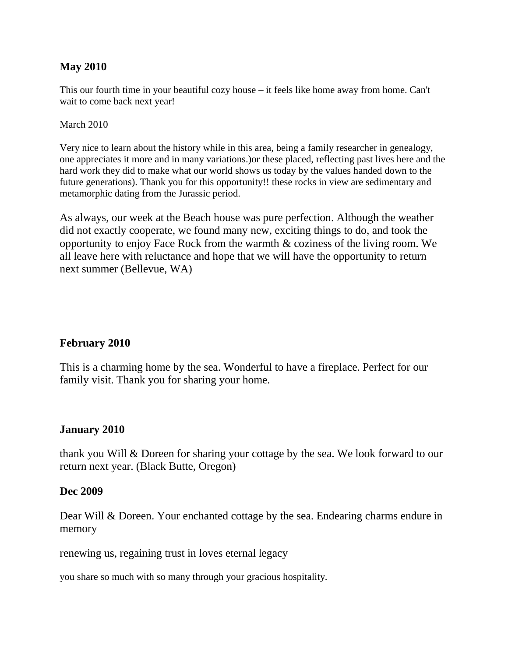#### **May 2010**

This our fourth time in your beautiful cozy house – it feels like home away from home. Can't wait to come back next year!

#### March 2010

Very nice to learn about the history while in this area, being a family researcher in genealogy, one appreciates it more and in many variations.)or these placed, reflecting past lives here and the hard work they did to make what our world shows us today by the values handed down to the future generations). Thank you for this opportunity!! these rocks in view are sedimentary and metamorphic dating from the Jurassic period.

As always, our week at the Beach house was pure perfection. Although the weather did not exactly cooperate, we found many new, exciting things to do, and took the opportunity to enjoy Face Rock from the warmth & coziness of the living room. We all leave here with reluctance and hope that we will have the opportunity to return next summer (Bellevue, WA)

#### **February 2010**

This is a charming home by the sea. Wonderful to have a fireplace. Perfect for our family visit. Thank you for sharing your home.

#### **January 2010**

thank you Will & Doreen for sharing your cottage by the sea. We look forward to our return next year. (Black Butte, Oregon)

#### **Dec 2009**

Dear Will & Doreen. Your enchanted cottage by the sea. Endearing charms endure in memory

renewing us, regaining trust in loves eternal legacy

you share so much with so many through your gracious hospitality.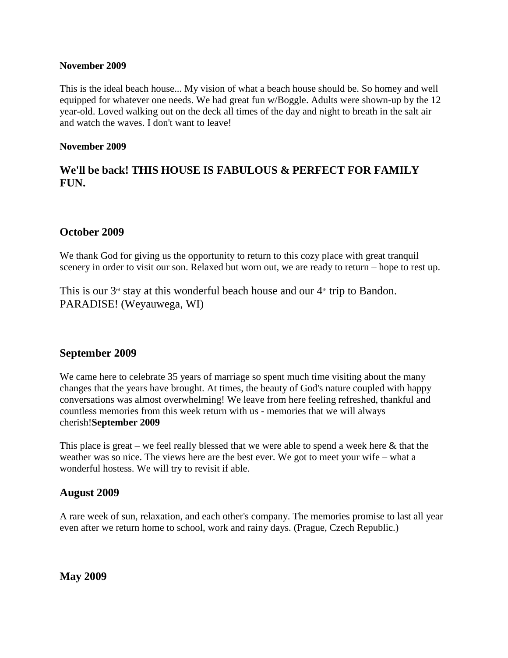#### **November 2009**

This is the ideal beach house... My vision of what a beach house should be. So homey and well equipped for whatever one needs. We had great fun w/Boggle. Adults were shown-up by the 12 year-old. Loved walking out on the deck all times of the day and night to breath in the salt air and watch the waves. I don't want to leave!

#### **November 2009**

### **We'll be back! THIS HOUSE IS FABULOUS & PERFECT FOR FAMILY FUN.**

#### **October 2009**

We thank God for giving us the opportunity to return to this cozy place with great tranquil scenery in order to visit our son. Relaxed but worn out, we are ready to return – hope to rest up.

This is our  $3<sup>rd</sup>$  stay at this wonderful beach house and our  $4<sup>th</sup>$  trip to Bandon. PARADISE! (Weyauwega, WI)

#### **September 2009**

We came here to celebrate 35 years of marriage so spent much time visiting about the many changes that the years have brought. At times, the beauty of God's nature coupled with happy conversations was almost overwhelming! We leave from here feeling refreshed, thankful and countless memories from this week return with us - memories that we will always cherish!**September 2009**

This place is great – we feel really blessed that we were able to spend a week here  $\&$  that the weather was so nice. The views here are the best ever. We got to meet your wife – what a wonderful hostess. We will try to revisit if able.

#### **August 2009**

A rare week of sun, relaxation, and each other's company. The memories promise to last all year even after we return home to school, work and rainy days. (Prague, Czech Republic.)

**May 2009**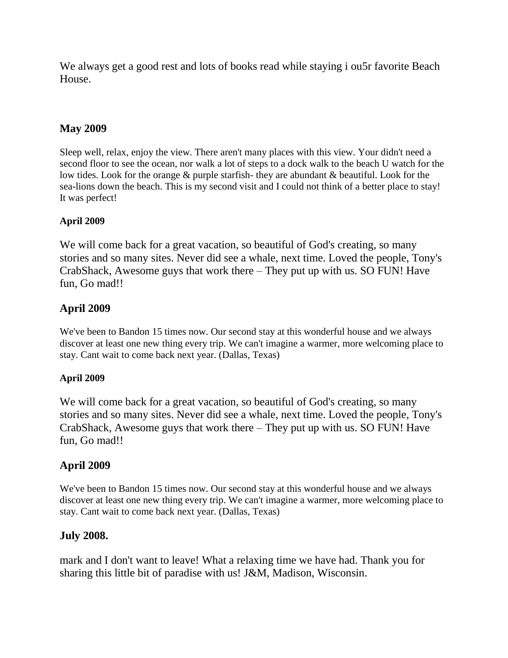We always get a good rest and lots of books read while staying i ou5r favorite Beach House.

#### **May 2009**

Sleep well, relax, enjoy the view. There aren't many places with this view. Your didn't need a second floor to see the ocean, nor walk a lot of steps to a dock walk to the beach U watch for the low tides. Look for the orange & purple starfish- they are abundant & beautiful. Look for the sea-lions down the beach. This is my second visit and I could not think of a better place to stay! It was perfect!

#### **April 2009**

We will come back for a great vacation, so beautiful of God's creating, so many stories and so many sites. Never did see a whale, next time. Loved the people, Tony's CrabShack, Awesome guys that work there – They put up with us. SO FUN! Have fun, Go mad!!

# **April 2009**

We've been to Bandon 15 times now. Our second stay at this wonderful house and we always discover at least one new thing every trip. We can't imagine a warmer, more welcoming place to stay. Cant wait to come back next year. (Dallas, Texas)

#### **April 2009**

We will come back for a great vacation, so beautiful of God's creating, so many stories and so many sites. Never did see a whale, next time. Loved the people, Tony's CrabShack, Awesome guys that work there – They put up with us. SO FUN! Have fun, Go mad!!

# **April 2009**

We've been to Bandon 15 times now. Our second stay at this wonderful house and we always discover at least one new thing every trip. We can't imagine a warmer, more welcoming place to stay. Cant wait to come back next year. (Dallas, Texas)

### **July 2008.**

mark and I don't want to leave! What a relaxing time we have had. Thank you for sharing this little bit of paradise with us! J&M, Madison, Wisconsin.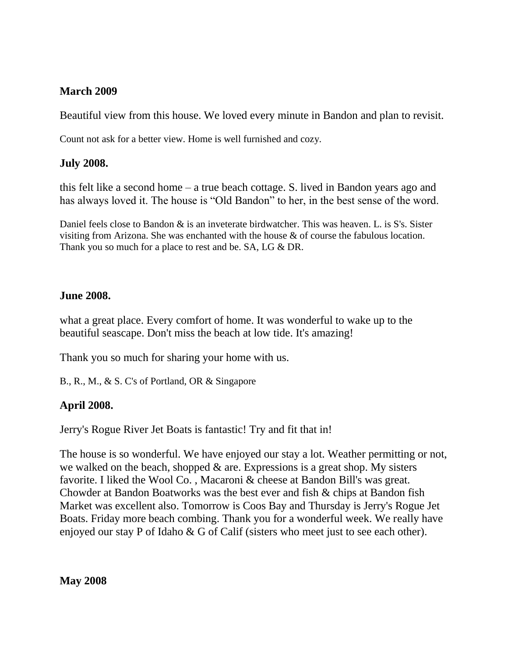### **March 2009**

Beautiful view from this house. We loved every minute in Bandon and plan to revisit.

Count not ask for a better view. Home is well furnished and cozy.

# **July 2008.**

this felt like a second home – a true beach cottage. S. lived in Bandon years ago and has always loved it. The house is "Old Bandon" to her, in the best sense of the word.

Daniel feels close to Bandon  $\&$  is an inveterate birdwatcher. This was heaven. L. is S's. Sister visiting from Arizona. She was enchanted with the house & of course the fabulous location. Thank you so much for a place to rest and be. SA, LG & DR.

### **June 2008.**

what a great place. Every comfort of home. It was wonderful to wake up to the beautiful seascape. Don't miss the beach at low tide. It's amazing!

Thank you so much for sharing your home with us.

B., R., M., & S. C's of Portland, OR & Singapore

# **April 2008.**

Jerry's Rogue River Jet Boats is fantastic! Try and fit that in!

The house is so wonderful. We have enjoyed our stay a lot. Weather permitting or not, we walked on the beach, shopped  $\&$  are. Expressions is a great shop. My sisters favorite. I liked the Wool Co. , Macaroni & cheese at Bandon Bill's was great. Chowder at Bandon Boatworks was the best ever and fish & chips at Bandon fish Market was excellent also. Tomorrow is Coos Bay and Thursday is Jerry's Rogue Jet Boats. Friday more beach combing. Thank you for a wonderful week. We really have enjoyed our stay P of Idaho & G of Calif (sisters who meet just to see each other).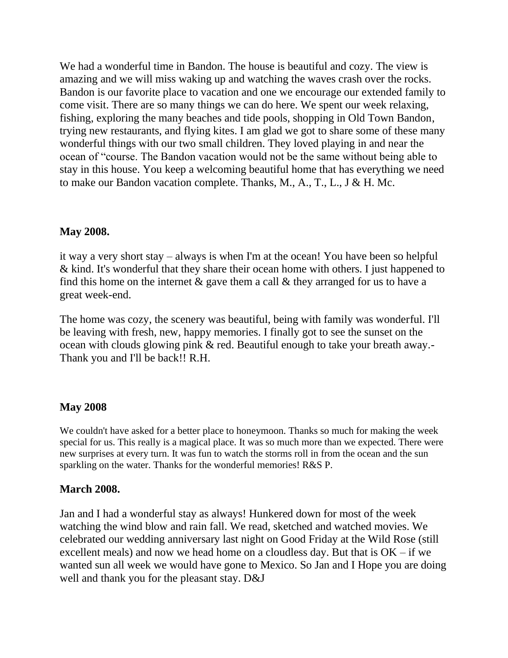We had a wonderful time in Bandon. The house is beautiful and cozy. The view is amazing and we will miss waking up and watching the waves crash over the rocks. Bandon is our favorite place to vacation and one we encourage our extended family to come visit. There are so many things we can do here. We spent our week relaxing, fishing, exploring the many beaches and tide pools, shopping in Old Town Bandon, trying new restaurants, and flying kites. I am glad we got to share some of these many wonderful things with our two small children. They loved playing in and near the ocean of "course. The Bandon vacation would not be the same without being able to stay in this house. You keep a welcoming beautiful home that has everything we need to make our Bandon vacation complete. Thanks, M., A., T., L., J & H. Mc.

#### **May 2008.**

it way a very short stay – always is when I'm at the ocean! You have been so helpful & kind. It's wonderful that they share their ocean home with others. I just happened to find this home on the internet  $\&$  gave them a call  $\&$  they arranged for us to have a great week-end.

The home was cozy, the scenery was beautiful, being with family was wonderful. I'll be leaving with fresh, new, happy memories. I finally got to see the sunset on the ocean with clouds glowing pink & red. Beautiful enough to take your breath away.- Thank you and I'll be back!! R.H.

### **May 2008**

We couldn't have asked for a better place to honeymoon. Thanks so much for making the week special for us. This really is a magical place. It was so much more than we expected. There were new surprises at every turn. It was fun to watch the storms roll in from the ocean and the sun sparkling on the water. Thanks for the wonderful memories! R&S P.

### **March 2008.**

Jan and I had a wonderful stay as always! Hunkered down for most of the week watching the wind blow and rain fall. We read, sketched and watched movies. We celebrated our wedding anniversary last night on Good Friday at the Wild Rose (still excellent meals) and now we head home on a cloudless day. But that is  $OK - if$  we wanted sun all week we would have gone to Mexico. So Jan and I Hope you are doing well and thank you for the pleasant stay. D&J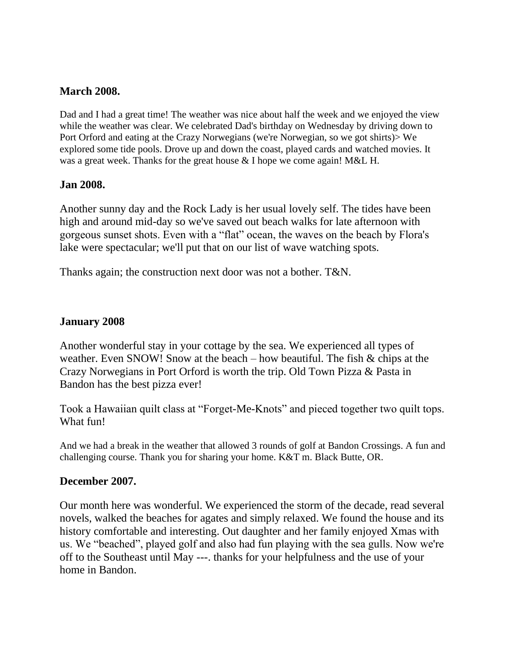#### **March 2008.**

Dad and I had a great time! The weather was nice about half the week and we enjoyed the view while the weather was clear. We celebrated Dad's birthday on Wednesday by driving down to Port Orford and eating at the Crazy Norwegians (we're Norwegian, so we got shirts)> We explored some tide pools. Drove up and down the coast, played cards and watched movies. It was a great week. Thanks for the great house & I hope we come again! M&L H.

#### **Jan 2008.**

Another sunny day and the Rock Lady is her usual lovely self. The tides have been high and around mid-day so we've saved out beach walks for late afternoon with gorgeous sunset shots. Even with a "flat" ocean, the waves on the beach by Flora's lake were spectacular; we'll put that on our list of wave watching spots.

Thanks again; the construction next door was not a bother. T&N.

#### **January 2008**

Another wonderful stay in your cottage by the sea. We experienced all types of weather. Even SNOW! Snow at the beach – how beautiful. The fish  $\&$  chips at the Crazy Norwegians in Port Orford is worth the trip. Old Town Pizza & Pasta in Bandon has the best pizza ever!

Took a Hawaiian quilt class at "Forget-Me-Knots" and pieced together two quilt tops. What fun!

And we had a break in the weather that allowed 3 rounds of golf at Bandon Crossings. A fun and challenging course. Thank you for sharing your home. K&T m. Black Butte, OR.

#### **December 2007.**

Our month here was wonderful. We experienced the storm of the decade, read several novels, walked the beaches for agates and simply relaxed. We found the house and its history comfortable and interesting. Out daughter and her family enjoyed Xmas with us. We "beached", played golf and also had fun playing with the sea gulls. Now we're off to the Southeast until May ---. thanks for your helpfulness and the use of your home in Bandon.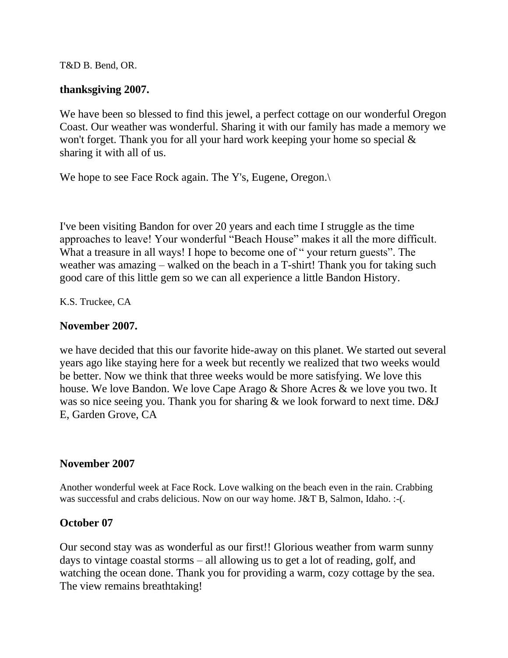T&D B. Bend, OR.

#### **thanksgiving 2007.**

We have been so blessed to find this jewel, a perfect cottage on our wonderful Oregon Coast. Our weather was wonderful. Sharing it with our family has made a memory we won't forget. Thank you for all your hard work keeping your home so special & sharing it with all of us.

We hope to see Face Rock again. The Y's, Eugene, Oregon.

I've been visiting Bandon for over 20 years and each time I struggle as the time approaches to leave! Your wonderful "Beach House" makes it all the more difficult. What a treasure in all ways! I hope to become one of " your return guests". The weather was amazing – walked on the beach in a T-shirt! Thank you for taking such good care of this little gem so we can all experience a little Bandon History.

K.S. Truckee, CA

#### **November 2007.**

we have decided that this our favorite hide-away on this planet. We started out several years ago like staying here for a week but recently we realized that two weeks would be better. Now we think that three weeks would be more satisfying. We love this house. We love Bandon. We love Cape Arago & Shore Acres & we love you two. It was so nice seeing you. Thank you for sharing & we look forward to next time. D&J E, Garden Grove, CA

#### **November 2007**

Another wonderful week at Face Rock. Love walking on the beach even in the rain. Crabbing was successful and crabs delicious. Now on our way home. J&T B, Salmon, Idaho. :-(.

#### **October 07**

Our second stay was as wonderful as our first!! Glorious weather from warm sunny days to vintage coastal storms – all allowing us to get a lot of reading, golf, and watching the ocean done. Thank you for providing a warm, cozy cottage by the sea. The view remains breathtaking!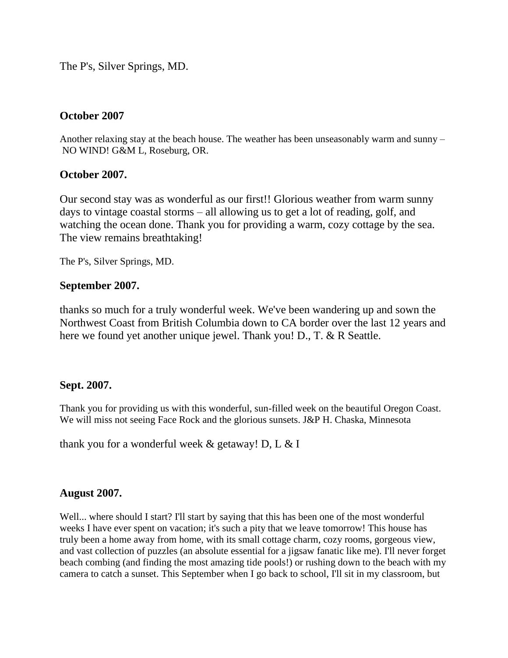The P's, Silver Springs, MD.

#### **October 2007**

Another relaxing stay at the beach house. The weather has been unseasonably warm and sunny – NO WIND! G&M L, Roseburg, OR.

#### **October 2007.**

Our second stay was as wonderful as our first!! Glorious weather from warm sunny days to vintage coastal storms – all allowing us to get a lot of reading, golf, and watching the ocean done. Thank you for providing a warm, cozy cottage by the sea. The view remains breathtaking!

The P's, Silver Springs, MD.

#### **September 2007.**

thanks so much for a truly wonderful week. We've been wandering up and sown the Northwest Coast from British Columbia down to CA border over the last 12 years and here we found yet another unique jewel. Thank you! D., T. & R Seattle.

#### **Sept. 2007.**

Thank you for providing us with this wonderful, sun-filled week on the beautiful Oregon Coast. We will miss not seeing Face Rock and the glorious sunsets. J&P H. Chaska, Minnesota

thank you for a wonderful week  $\&$  getaway! D, L  $\&$  I

#### **August 2007.**

Well... where should I start? I'll start by saying that this has been one of the most wonderful weeks I have ever spent on vacation; it's such a pity that we leave tomorrow! This house has truly been a home away from home, with its small cottage charm, cozy rooms, gorgeous view, and vast collection of puzzles (an absolute essential for a jigsaw fanatic like me). I'll never forget beach combing (and finding the most amazing tide pools!) or rushing down to the beach with my camera to catch a sunset. This September when I go back to school, I'll sit in my classroom, but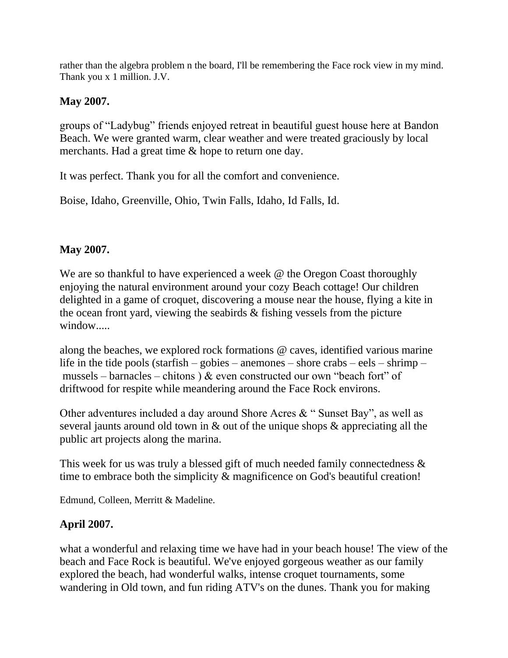rather than the algebra problem n the board, I'll be remembering the Face rock view in my mind. Thank you x 1 million. J.V.

# **May 2007.**

groups of "Ladybug" friends enjoyed retreat in beautiful guest house here at Bandon Beach. We were granted warm, clear weather and were treated graciously by local merchants. Had a great time & hope to return one day.

It was perfect. Thank you for all the comfort and convenience.

Boise, Idaho, Greenville, Ohio, Twin Falls, Idaho, Id Falls, Id.

# **May 2007.**

We are so thankful to have experienced a week @ the Oregon Coast thoroughly enjoying the natural environment around your cozy Beach cottage! Our children delighted in a game of croquet, discovering a mouse near the house, flying a kite in the ocean front yard, viewing the seabirds & fishing vessels from the picture window.....

along the beaches, we explored rock formations @ caves, identified various marine life in the tide pools (starfish – gobies – anemones – shore crabs – eels – shrimp – mussels – barnacles – chitons)  $\&$  even constructed our own "beach fort" of driftwood for respite while meandering around the Face Rock environs.

Other adventures included a day around Shore Acres & " Sunset Bay", as well as several jaunts around old town in & out of the unique shops & appreciating all the public art projects along the marina.

This week for us was truly a blessed gift of much needed family connectedness & time to embrace both the simplicity  $\&$  magnificence on God's beautiful creation!

Edmund, Colleen, Merritt & Madeline.

# **April 2007.**

what a wonderful and relaxing time we have had in your beach house! The view of the beach and Face Rock is beautiful. We've enjoyed gorgeous weather as our family explored the beach, had wonderful walks, intense croquet tournaments, some wandering in Old town, and fun riding ATV's on the dunes. Thank you for making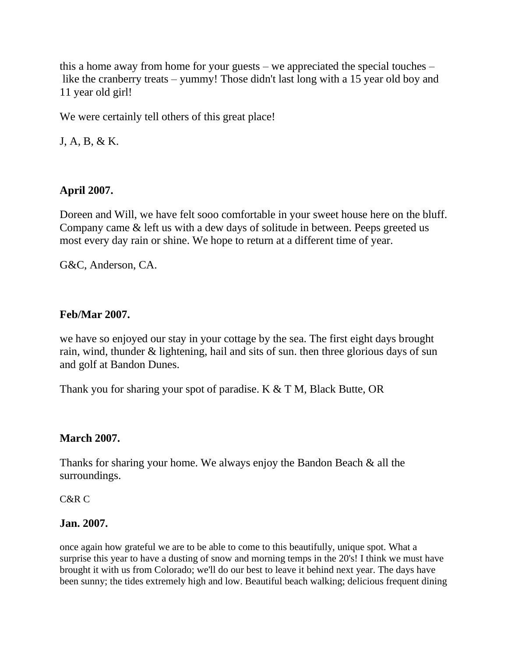this a home away from home for your guests – we appreciated the special touches – like the cranberry treats – yummy! Those didn't last long with a 15 year old boy and 11 year old girl!

We were certainly tell others of this great place!

J, A, B, & K.

### **April 2007.**

Doreen and Will, we have felt sooo comfortable in your sweet house here on the bluff. Company came & left us with a dew days of solitude in between. Peeps greeted us most every day rain or shine. We hope to return at a different time of year.

G&C, Anderson, CA.

#### **Feb/Mar 2007.**

we have so enjoyed our stay in your cottage by the sea. The first eight days brought rain, wind, thunder & lightening, hail and sits of sun. then three glorious days of sun and golf at Bandon Dunes.

Thank you for sharing your spot of paradise. K & T M, Black Butte, OR

#### **March 2007.**

Thanks for sharing your home. We always enjoy the Bandon Beach & all the surroundings.

C&R C

#### **Jan. 2007.**

once again how grateful we are to be able to come to this beautifully, unique spot. What a surprise this year to have a dusting of snow and morning temps in the 20's! I think we must have brought it with us from Colorado; we'll do our best to leave it behind next year. The days have been sunny; the tides extremely high and low. Beautiful beach walking; delicious frequent dining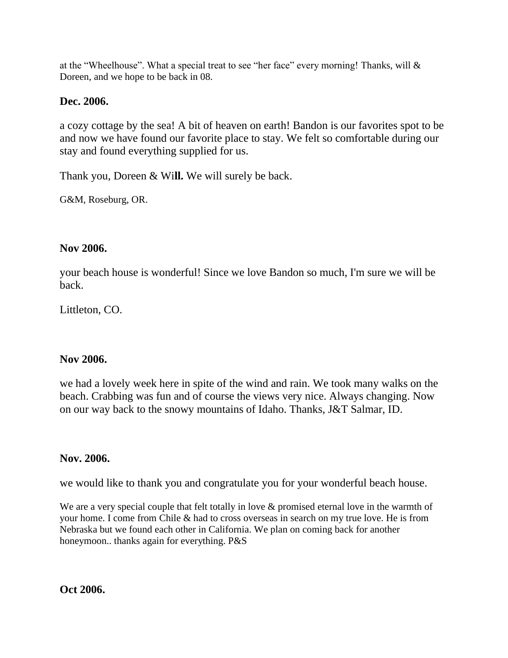at the "Wheelhouse". What a special treat to see "her face" every morning! Thanks, will & Doreen, and we hope to be back in 08.

### **Dec. 2006.**

a cozy cottage by the sea! A bit of heaven on earth! Bandon is our favorites spot to be and now we have found our favorite place to stay. We felt so comfortable during our stay and found everything supplied for us.

Thank you, Doreen & Wi**ll.** We will surely be back.

G&M, Roseburg, OR.

#### **Nov 2006.**

your beach house is wonderful! Since we love Bandon so much, I'm sure we will be back.

Littleton, CO.

#### **Nov 2006.**

we had a lovely week here in spite of the wind and rain. We took many walks on the beach. Crabbing was fun and of course the views very nice. Always changing. Now on our way back to the snowy mountains of Idaho. Thanks, J&T Salmar, ID.

### **Nov. 2006.**

we would like to thank you and congratulate you for your wonderful beach house.

We are a very special couple that felt totally in love & promised eternal love in the warmth of your home. I come from Chile & had to cross overseas in search on my true love. He is from Nebraska but we found each other in California. We plan on coming back for another honeymoon.. thanks again for everything. P&S

**Oct 2006.**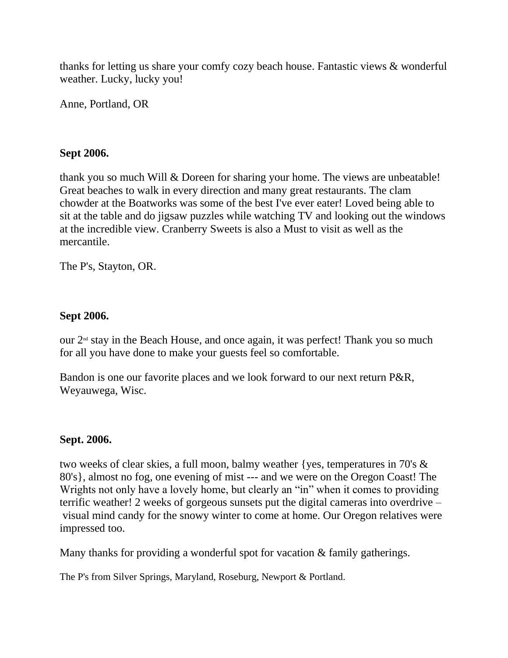thanks for letting us share your comfy cozy beach house. Fantastic views & wonderful weather. Lucky, lucky you!

Anne, Portland, OR

#### **Sept 2006.**

thank you so much Will & Doreen for sharing your home. The views are unbeatable! Great beaches to walk in every direction and many great restaurants. The clam chowder at the Boatworks was some of the best I've ever eater! Loved being able to sit at the table and do jigsaw puzzles while watching TV and looking out the windows at the incredible view. Cranberry Sweets is also a Must to visit as well as the mercantile.

The P's, Stayton, OR.

#### **Sept 2006.**

our  $2<sup>nd</sup>$  stay in the Beach House, and once again, it was perfect! Thank you so much for all you have done to make your guests feel so comfortable.

Bandon is one our favorite places and we look forward to our next return P&R, Weyauwega, Wisc.

### **Sept. 2006.**

two weeks of clear skies, a full moon, balmy weather {yes, temperatures in 70's & 80's}, almost no fog, one evening of mist --- and we were on the Oregon Coast! The Wrights not only have a lovely home, but clearly an "in" when it comes to providing terrific weather! 2 weeks of gorgeous sunsets put the digital cameras into overdrive – visual mind candy for the snowy winter to come at home. Our Oregon relatives were impressed too.

Many thanks for providing a wonderful spot for vacation & family gatherings.

The P's from Silver Springs, Maryland, Roseburg, Newport & Portland.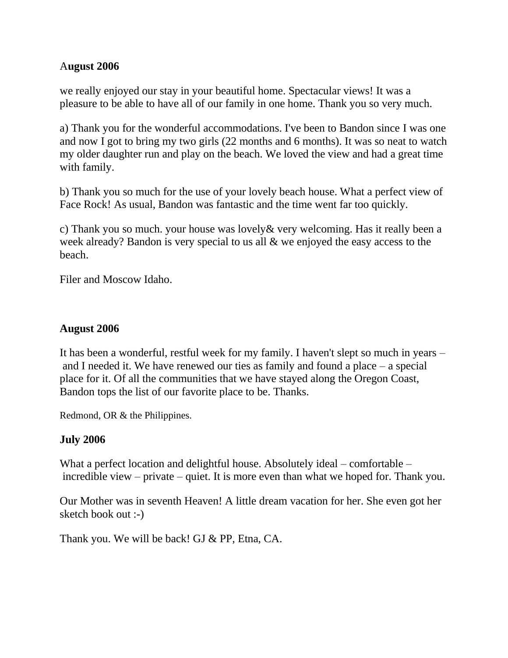#### A**ugust 2006**

we really enjoyed our stay in your beautiful home. Spectacular views! It was a pleasure to be able to have all of our family in one home. Thank you so very much.

a) Thank you for the wonderful accommodations. I've been to Bandon since I was one and now I got to bring my two girls (22 months and 6 months). It was so neat to watch my older daughter run and play on the beach. We loved the view and had a great time with family.

b) Thank you so much for the use of your lovely beach house. What a perfect view of Face Rock! As usual, Bandon was fantastic and the time went far too quickly.

c) Thank you so much. your house was lovely& very welcoming. Has it really been a week already? Bandon is very special to us all & we enjoyed the easy access to the beach.

Filer and Moscow Idaho.

#### **August 2006**

It has been a wonderful, restful week for my family. I haven't slept so much in years – and I needed it. We have renewed our ties as family and found a place – a special place for it. Of all the communities that we have stayed along the Oregon Coast, Bandon tops the list of our favorite place to be. Thanks.

Redmond, OR & the Philippines.

#### **July 2006**

What a perfect location and delightful house. Absolutely ideal – comfortable – incredible view – private – quiet. It is more even than what we hoped for. Thank you.

Our Mother was in seventh Heaven! A little dream vacation for her. She even got her sketch book out :-)

Thank you. We will be back! GJ & PP, Etna, CA.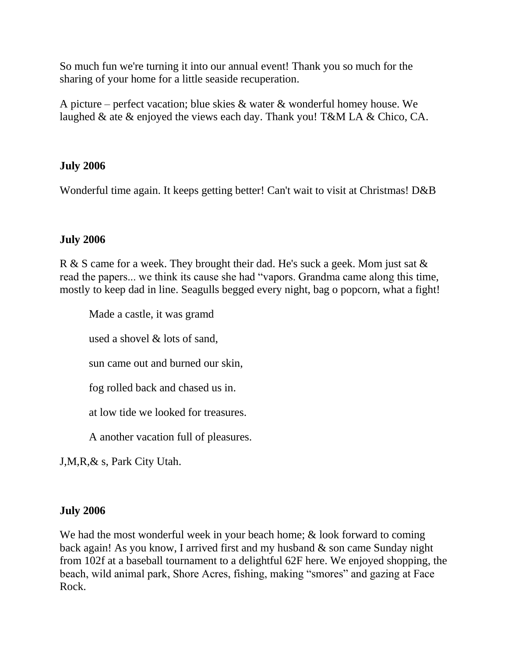So much fun we're turning it into our annual event! Thank you so much for the sharing of your home for a little seaside recuperation.

A picture – perfect vacation; blue skies & water & wonderful homey house. We laughed & ate & enjoyed the views each day. Thank you! T&M LA & Chico, CA.

### **July 2006**

Wonderful time again. It keeps getting better! Can't wait to visit at Christmas! D&B

#### **July 2006**

R & S came for a week. They brought their dad. He's suck a geek. Mom just sat & read the papers... we think its cause she had "vapors. Grandma came along this time, mostly to keep dad in line. Seagulls begged every night, bag o popcorn, what a fight!

Made a castle, it was gramd used a shovel & lots of sand, sun came out and burned our skin, fog rolled back and chased us in. at low tide we looked for treasures.

A another vacation full of pleasures.

J,M,R,& s, Park City Utah.

### **July 2006**

We had the most wonderful week in your beach home; & look forward to coming back again! As you know, I arrived first and my husband & son came Sunday night from 102f at a baseball tournament to a delightful 62F here. We enjoyed shopping, the beach, wild animal park, Shore Acres, fishing, making "smores" and gazing at Face Rock.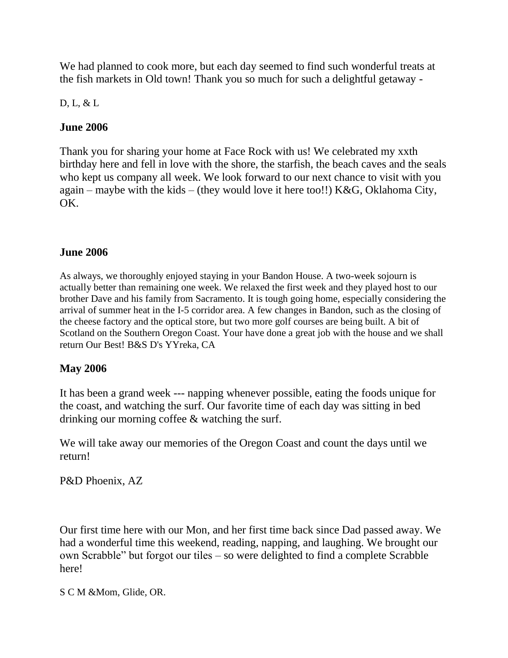We had planned to cook more, but each day seemed to find such wonderful treats at the fish markets in Old town! Thank you so much for such a delightful getaway -

D, L, & L

# **June 2006**

Thank you for sharing your home at Face Rock with us! We celebrated my xxth birthday here and fell in love with the shore, the starfish, the beach caves and the seals who kept us company all week. We look forward to our next chance to visit with you again – maybe with the kids – (they would love it here too!!) K&G, Oklahoma City, OK.

# **June 2006**

As always, we thoroughly enjoyed staying in your Bandon House. A two-week sojourn is actually better than remaining one week. We relaxed the first week and they played host to our brother Dave and his family from Sacramento. It is tough going home, especially considering the arrival of summer heat in the I-5 corridor area. A few changes in Bandon, such as the closing of the cheese factory and the optical store, but two more golf courses are being built. A bit of Scotland on the Southern Oregon Coast. Your have done a great job with the house and we shall return Our Best! B&S D's YYreka, CA

# **May 2006**

It has been a grand week --- napping whenever possible, eating the foods unique for the coast, and watching the surf. Our favorite time of each day was sitting in bed drinking our morning coffee & watching the surf.

We will take away our memories of the Oregon Coast and count the days until we return!

P&D Phoenix, AZ

Our first time here with our Mon, and her first time back since Dad passed away. We had a wonderful time this weekend, reading, napping, and laughing. We brought our own Scrabble" but forgot our tiles – so were delighted to find a complete Scrabble here!

S C M &Mom, Glide, OR.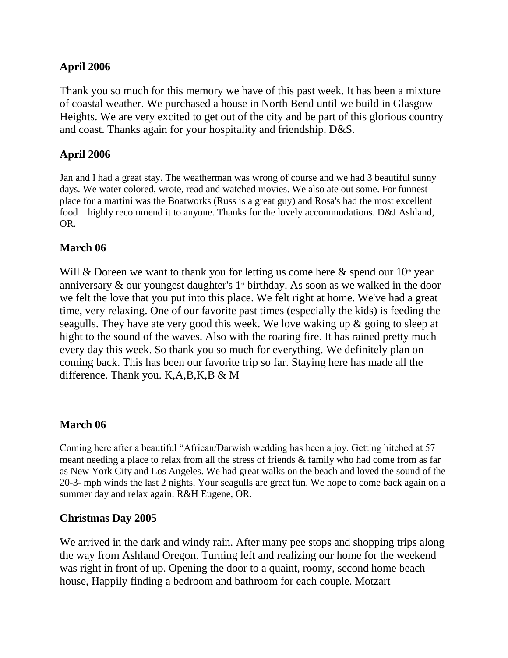### **April 2006**

Thank you so much for this memory we have of this past week. It has been a mixture of coastal weather. We purchased a house in North Bend until we build in Glasgow Heights. We are very excited to get out of the city and be part of this glorious country and coast. Thanks again for your hospitality and friendship. D&S.

### **April 2006**

Jan and I had a great stay. The weatherman was wrong of course and we had 3 beautiful sunny days. We water colored, wrote, read and watched movies. We also ate out some. For funnest place for a martini was the Boatworks (Russ is a great guy) and Rosa's had the most excellent food – highly recommend it to anyone. Thanks for the lovely accommodations. D&J Ashland, OR.

### **March 06**

Will & Doreen we want to thank you for letting us come here & spend our  $10<sup>th</sup>$  year anniversary  $\&$  our youngest daughter's  $1$ <sup>st</sup> birthday. As soon as we walked in the door we felt the love that you put into this place. We felt right at home. We've had a great time, very relaxing. One of our favorite past times (especially the kids) is feeding the seagulls. They have ate very good this week. We love waking up & going to sleep at hight to the sound of the waves. Also with the roaring fire. It has rained pretty much every day this week. So thank you so much for everything. We definitely plan on coming back. This has been our favorite trip so far. Staying here has made all the difference. Thank you. K,A,B,K,B & M

#### **March 06**

Coming here after a beautiful "African/Darwish wedding has been a joy. Getting hitched at 57 meant needing a place to relax from all the stress of friends & family who had come from as far as New York City and Los Angeles. We had great walks on the beach and loved the sound of the 20-3- mph winds the last 2 nights. Your seagulls are great fun. We hope to come back again on a summer day and relax again. R&H Eugene, OR.

#### **Christmas Day 2005**

We arrived in the dark and windy rain. After many pee stops and shopping trips along the way from Ashland Oregon. Turning left and realizing our home for the weekend was right in front of up. Opening the door to a quaint, roomy, second home beach house, Happily finding a bedroom and bathroom for each couple. Motzart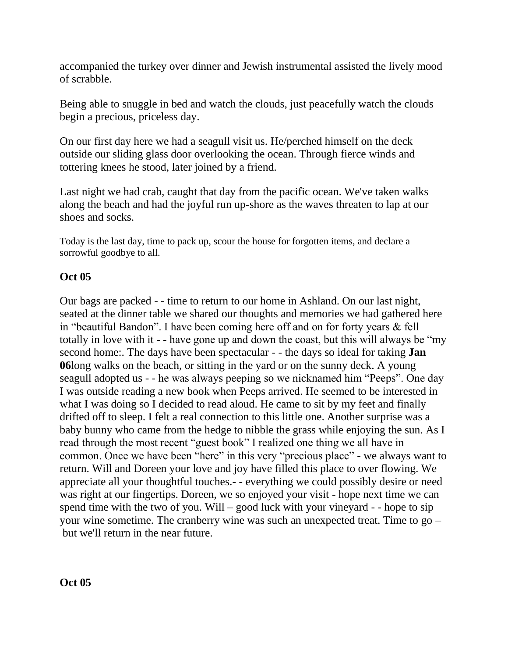accompanied the turkey over dinner and Jewish instrumental assisted the lively mood of scrabble.

Being able to snuggle in bed and watch the clouds, just peacefully watch the clouds begin a precious, priceless day.

On our first day here we had a seagull visit us. He/perched himself on the deck outside our sliding glass door overlooking the ocean. Through fierce winds and tottering knees he stood, later joined by a friend.

Last night we had crab, caught that day from the pacific ocean. We've taken walks along the beach and had the joyful run up-shore as the waves threaten to lap at our shoes and socks.

Today is the last day, time to pack up, scour the house for forgotten items, and declare a sorrowful goodbye to all.

# **Oct 05**

Our bags are packed - - time to return to our home in Ashland. On our last night, seated at the dinner table we shared our thoughts and memories we had gathered here in "beautiful Bandon". I have been coming here off and on for forty years & fell totally in love with it - - have gone up and down the coast, but this will always be "my second home:. The days have been spectacular - - the days so ideal for taking **Jan 06**long walks on the beach, or sitting in the yard or on the sunny deck. A young seagull adopted us - - he was always peeping so we nicknamed him "Peeps". One day I was outside reading a new book when Peeps arrived. He seemed to be interested in what I was doing so I decided to read aloud. He came to sit by my feet and finally drifted off to sleep. I felt a real connection to this little one. Another surprise was a baby bunny who came from the hedge to nibble the grass while enjoying the sun. As I read through the most recent "guest book" I realized one thing we all have in common. Once we have been "here" in this very "precious place" - we always want to return. Will and Doreen your love and joy have filled this place to over flowing. We appreciate all your thoughtful touches.- - everything we could possibly desire or need was right at our fingertips. Doreen, we so enjoyed your visit - hope next time we can spend time with the two of you. Will – good luck with your vineyard - - hope to sip your wine sometime. The cranberry wine was such an unexpected treat. Time to go – but we'll return in the near future.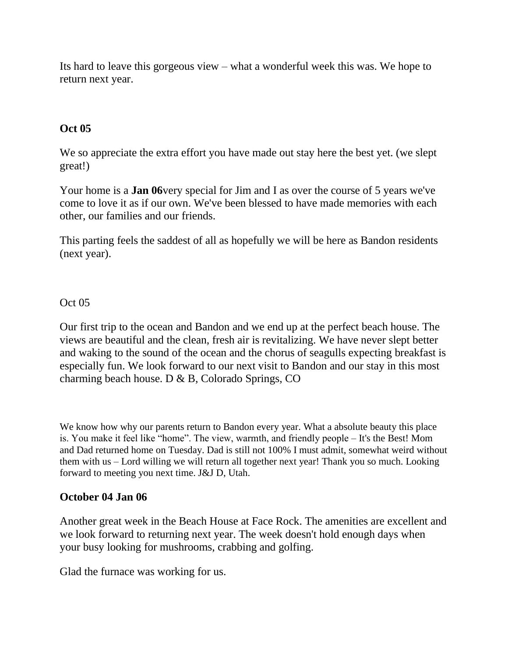Its hard to leave this gorgeous view – what a wonderful week this was. We hope to return next year.

# **Oct 05**

We so appreciate the extra effort you have made out stay here the best yet. (we slept great!)

Your home is a **Jan 06**very special for Jim and I as over the course of 5 years we've come to love it as if our own. We've been blessed to have made memories with each other, our families and our friends.

This parting feels the saddest of all as hopefully we will be here as Bandon residents (next year).

# Oct 05

Our first trip to the ocean and Bandon and we end up at the perfect beach house. The views are beautiful and the clean, fresh air is revitalizing. We have never slept better and waking to the sound of the ocean and the chorus of seagulls expecting breakfast is especially fun. We look forward to our next visit to Bandon and our stay in this most charming beach house. D & B, Colorado Springs, CO

We know how why our parents return to Bandon every year. What a absolute beauty this place is. You make it feel like "home". The view, warmth, and friendly people – It's the Best! Mom and Dad returned home on Tuesday. Dad is still not 100% I must admit, somewhat weird without them with us – Lord willing we will return all together next year! Thank you so much. Looking forward to meeting you next time. J&J D, Utah.

### **October 04 Jan 06**

Another great week in the Beach House at Face Rock. The amenities are excellent and we look forward to returning next year. The week doesn't hold enough days when your busy looking for mushrooms, crabbing and golfing.

Glad the furnace was working for us.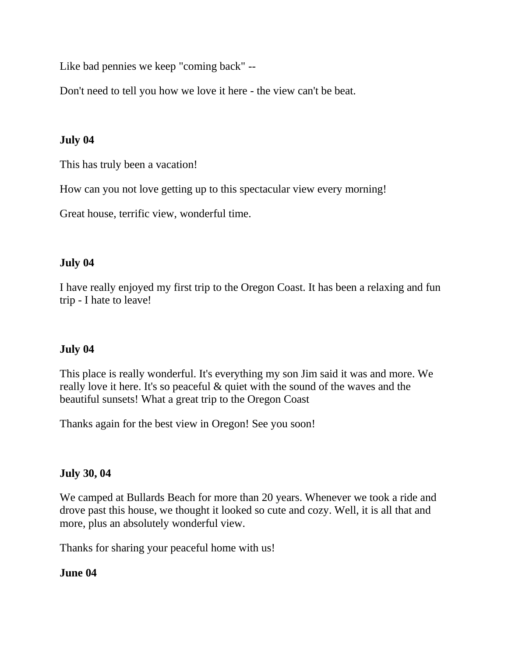Like bad pennies we keep "coming back" --

Don't need to tell you how we love it here - the view can't be beat.

# **July 04**

This has truly been a vacation!

How can you not love getting up to this spectacular view every morning!

Great house, terrific view, wonderful time.

### **July 04**

I have really enjoyed my first trip to the Oregon Coast. It has been a relaxing and fun trip - I hate to leave!

### **July 04**

This place is really wonderful. It's everything my son Jim said it was and more. We really love it here. It's so peaceful & quiet with the sound of the waves and the beautiful sunsets! What a great trip to the Oregon Coast

Thanks again for the best view in Oregon! See you soon!

#### **July 30, 04**

We camped at Bullards Beach for more than 20 years. Whenever we took a ride and drove past this house, we thought it looked so cute and cozy. Well, it is all that and more, plus an absolutely wonderful view.

Thanks for sharing your peaceful home with us!

### **June 04**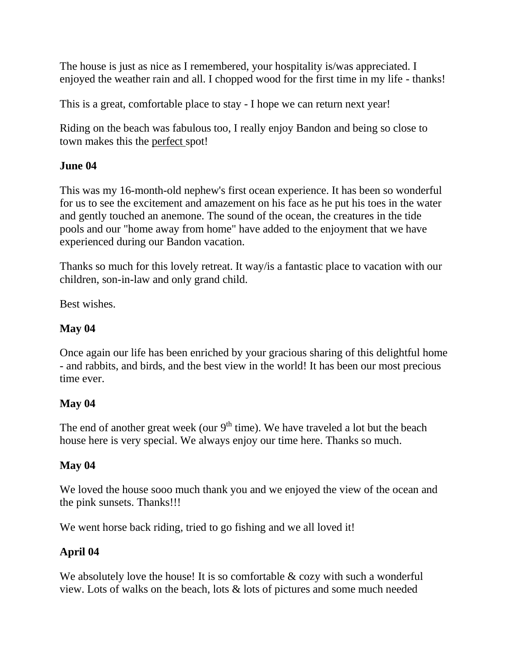The house is just as nice as I remembered, your hospitality is/was appreciated. I enjoyed the weather rain and all. I chopped wood for the first time in my life - thanks!

This is a great, comfortable place to stay - I hope we can return next year!

Riding on the beach was fabulous too, I really enjoy Bandon and being so close to town makes this the perfect spot!

# **June 04**

This was my 16-month-old nephew's first ocean experience. It has been so wonderful for us to see the excitement and amazement on his face as he put his toes in the water and gently touched an anemone. The sound of the ocean, the creatures in the tide pools and our "home away from home" have added to the enjoyment that we have experienced during our Bandon vacation.

Thanks so much for this lovely retreat. It way/is a fantastic place to vacation with our children, son-in-law and only grand child.

Best wishes.

# **May 04**

Once again our life has been enriched by your gracious sharing of this delightful home - and rabbits, and birds, and the best view in the world! It has been our most precious time ever.

### **May 04**

The end of another great week (our  $9<sup>th</sup>$  time). We have traveled a lot but the beach house here is very special. We always enjoy our time here. Thanks so much.

### **May 04**

We loved the house sooo much thank you and we enjoyed the view of the ocean and the pink sunsets. Thanks!!!

We went horse back riding, tried to go fishing and we all loved it!

# **April 04**

We absolutely love the house! It is so comfortable & cozy with such a wonderful view. Lots of walks on the beach, lots & lots of pictures and some much needed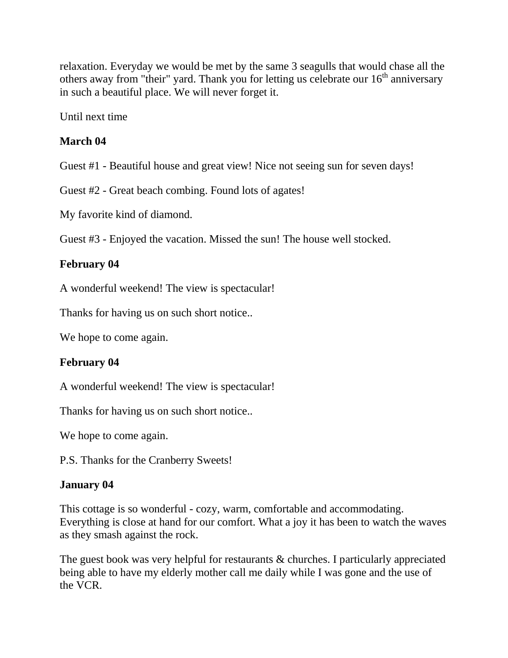relaxation. Everyday we would be met by the same 3 seagulls that would chase all the others away from "their" yard. Thank you for letting us celebrate our  $16<sup>th</sup>$  anniversary in such a beautiful place. We will never forget it.

Until next time

# **March 04**

Guest #1 - Beautiful house and great view! Nice not seeing sun for seven days!

Guest #2 - Great beach combing. Found lots of agates!

My favorite kind of diamond.

Guest #3 - Enjoyed the vacation. Missed the sun! The house well stocked.

# **February 04**

A wonderful weekend! The view is spectacular!

Thanks for having us on such short notice..

We hope to come again.

### **February 04**

A wonderful weekend! The view is spectacular!

Thanks for having us on such short notice..

We hope to come again.

P.S. Thanks for the Cranberry Sweets!

### **January 04**

This cottage is so wonderful - cozy, warm, comfortable and accommodating. Everything is close at hand for our comfort. What a joy it has been to watch the waves as they smash against the rock.

The guest book was very helpful for restaurants & churches. I particularly appreciated being able to have my elderly mother call me daily while I was gone and the use of the VCR.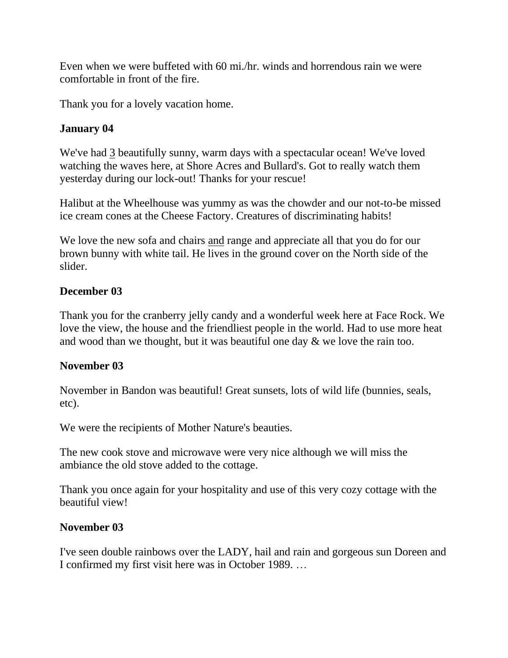Even when we were buffeted with 60 mi./hr. winds and horrendous rain we were comfortable in front of the fire.

Thank you for a lovely vacation home.

### **January 04**

We've had 3 beautifully sunny, warm days with a spectacular ocean! We've loved watching the waves here, at Shore Acres and Bullard's. Got to really watch them yesterday during our lock-out! Thanks for your rescue!

Halibut at the Wheelhouse was yummy as was the chowder and our not-to-be missed ice cream cones at the Cheese Factory. Creatures of discriminating habits!

We love the new sofa and chairs and range and appreciate all that you do for our brown bunny with white tail. He lives in the ground cover on the North side of the slider.

### **December 03**

Thank you for the cranberry jelly candy and a wonderful week here at Face Rock. We love the view, the house and the friendliest people in the world. Had to use more heat and wood than we thought, but it was beautiful one day & we love the rain too.

### **November 03**

November in Bandon was beautiful! Great sunsets, lots of wild life (bunnies, seals, etc).

We were the recipients of Mother Nature's beauties.

The new cook stove and microwave were very nice although we will miss the ambiance the old stove added to the cottage.

Thank you once again for your hospitality and use of this very cozy cottage with the beautiful view!

### **November 03**

I've seen double rainbows over the LADY, hail and rain and gorgeous sun Doreen and I confirmed my first visit here was in October 1989. …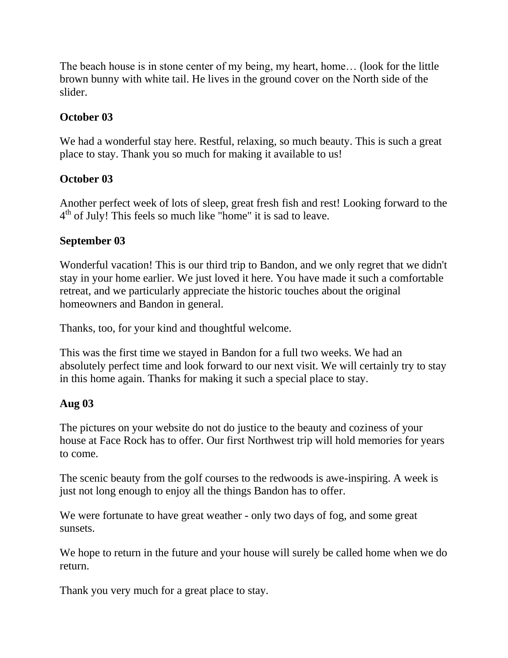The beach house is in stone center of my being, my heart, home… (look for the little brown bunny with white tail. He lives in the ground cover on the North side of the slider.

# **October 03**

We had a wonderful stay here. Restful, relaxing, so much beauty. This is such a great place to stay. Thank you so much for making it available to us!

### **October 03**

Another perfect week of lots of sleep, great fresh fish and rest! Looking forward to the 4<sup>th</sup> of July! This feels so much like "home" it is sad to leave.

#### **September 03**

Wonderful vacation! This is our third trip to Bandon, and we only regret that we didn't stay in your home earlier. We just loved it here. You have made it such a comfortable retreat, and we particularly appreciate the historic touches about the original homeowners and Bandon in general.

Thanks, too, for your kind and thoughtful welcome.

This was the first time we stayed in Bandon for a full two weeks. We had an absolutely perfect time and look forward to our next visit. We will certainly try to stay in this home again. Thanks for making it such a special place to stay.

#### **Aug 03**

The pictures on your website do not do justice to the beauty and coziness of your house at Face Rock has to offer. Our first Northwest trip will hold memories for years to come.

The scenic beauty from the golf courses to the redwoods is awe-inspiring. A week is just not long enough to enjoy all the things Bandon has to offer.

We were fortunate to have great weather - only two days of fog, and some great sunsets.

We hope to return in the future and your house will surely be called home when we do return.

Thank you very much for a great place to stay.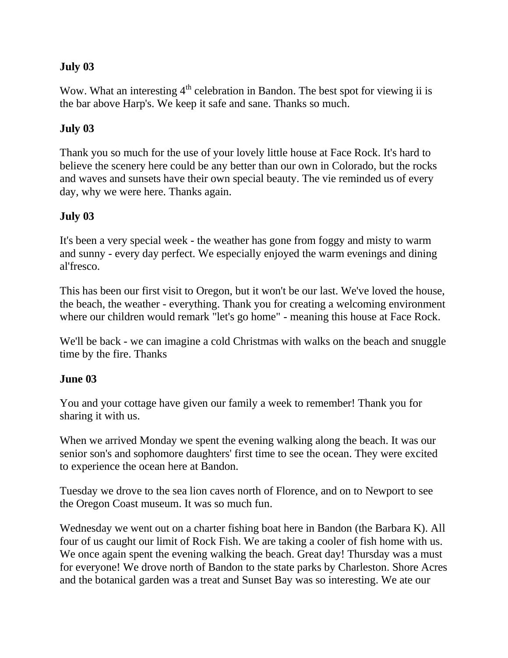### **July 03**

Wow. What an interesting  $4<sup>th</sup>$  celebration in Bandon. The best spot for viewing ii is the bar above Harp's. We keep it safe and sane. Thanks so much.

# **July 03**

Thank you so much for the use of your lovely little house at Face Rock. It's hard to believe the scenery here could be any better than our own in Colorado, but the rocks and waves and sunsets have their own special beauty. The vie reminded us of every day, why we were here. Thanks again.

# **July 03**

It's been a very special week - the weather has gone from foggy and misty to warm and sunny - every day perfect. We especially enjoyed the warm evenings and dining al'fresco.

This has been our first visit to Oregon, but it won't be our last. We've loved the house, the beach, the weather - everything. Thank you for creating a welcoming environment where our children would remark "let's go home" - meaning this house at Face Rock.

We'll be back - we can imagine a cold Christmas with walks on the beach and snuggle time by the fire. Thanks

### **June 03**

You and your cottage have given our family a week to remember! Thank you for sharing it with us.

When we arrived Monday we spent the evening walking along the beach. It was our senior son's and sophomore daughters' first time to see the ocean. They were excited to experience the ocean here at Bandon.

Tuesday we drove to the sea lion caves north of Florence, and on to Newport to see the Oregon Coast museum. It was so much fun.

Wednesday we went out on a charter fishing boat here in Bandon (the Barbara K). All four of us caught our limit of Rock Fish. We are taking a cooler of fish home with us. We once again spent the evening walking the beach. Great day! Thursday was a must for everyone! We drove north of Bandon to the state parks by Charleston. Shore Acres and the botanical garden was a treat and Sunset Bay was so interesting. We ate our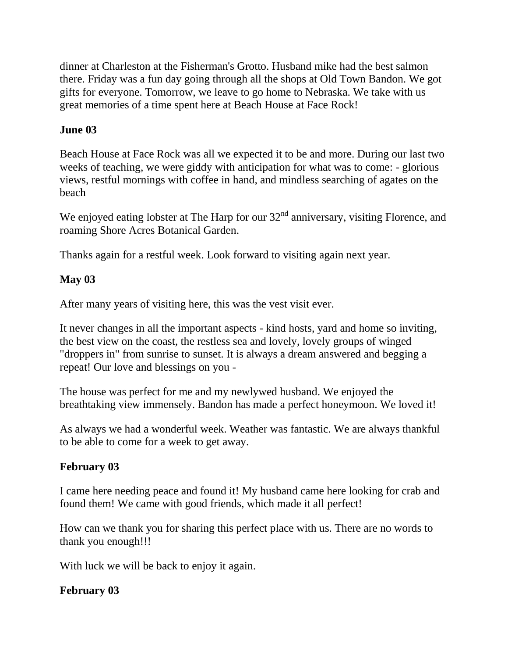dinner at Charleston at the Fisherman's Grotto. Husband mike had the best salmon there. Friday was a fun day going through all the shops at Old Town Bandon. We got gifts for everyone. Tomorrow, we leave to go home to Nebraska. We take with us great memories of a time spent here at Beach House at Face Rock!

### **June 03**

Beach House at Face Rock was all we expected it to be and more. During our last two weeks of teaching, we were giddy with anticipation for what was to come: - glorious views, restful mornings with coffee in hand, and mindless searching of agates on the beach

We enjoyed eating lobster at The Harp for our  $32<sup>nd</sup>$  anniversary, visiting Florence, and roaming Shore Acres Botanical Garden.

Thanks again for a restful week. Look forward to visiting again next year.

#### **May 03**

After many years of visiting here, this was the vest visit ever.

It never changes in all the important aspects - kind hosts, yard and home so inviting, the best view on the coast, the restless sea and lovely, lovely groups of winged "droppers in" from sunrise to sunset. It is always a dream answered and begging a repeat! Our love and blessings on you -

The house was perfect for me and my newlywed husband. We enjoyed the breathtaking view immensely. Bandon has made a perfect honeymoon. We loved it!

As always we had a wonderful week. Weather was fantastic. We are always thankful to be able to come for a week to get away.

### **February 03**

I came here needing peace and found it! My husband came here looking for crab and found them! We came with good friends, which made it all perfect!

How can we thank you for sharing this perfect place with us. There are no words to thank you enough!!!

With luck we will be back to enjoy it again.

### **February 03**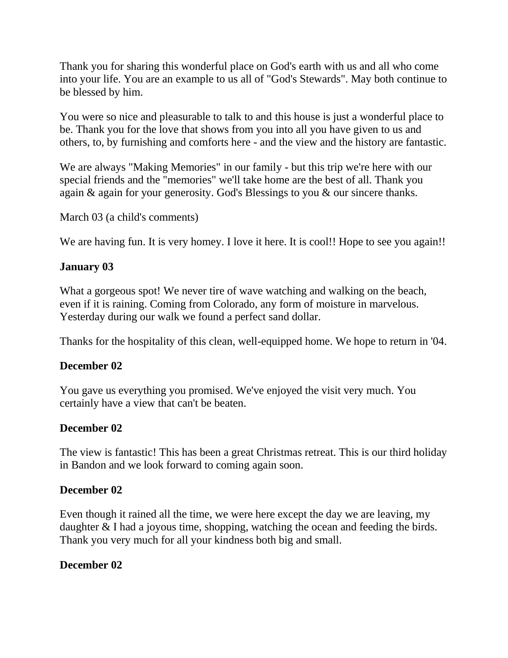Thank you for sharing this wonderful place on God's earth with us and all who come into your life. You are an example to us all of "God's Stewards". May both continue to be blessed by him.

You were so nice and pleasurable to talk to and this house is just a wonderful place to be. Thank you for the love that shows from you into all you have given to us and others, to, by furnishing and comforts here - and the view and the history are fantastic.

We are always "Making Memories" in our family - but this trip we're here with our special friends and the "memories" we'll take home are the best of all. Thank you again & again for your generosity. God's Blessings to you & our sincere thanks.

March 03 (a child's comments)

We are having fun. It is very homey. I love it here. It is cool!! Hope to see you again!!

# **January 03**

What a gorgeous spot! We never tire of wave watching and walking on the beach, even if it is raining. Coming from Colorado, any form of moisture in marvelous. Yesterday during our walk we found a perfect sand dollar.

Thanks for the hospitality of this clean, well-equipped home. We hope to return in '04.

### **December 02**

You gave us everything you promised. We've enjoyed the visit very much. You certainly have a view that can't be beaten.

### **December 02**

The view is fantastic! This has been a great Christmas retreat. This is our third holiday in Bandon and we look forward to coming again soon.

### **December 02**

Even though it rained all the time, we were here except the day we are leaving, my daughter & I had a joyous time, shopping, watching the ocean and feeding the birds. Thank you very much for all your kindness both big and small.

### **December 02**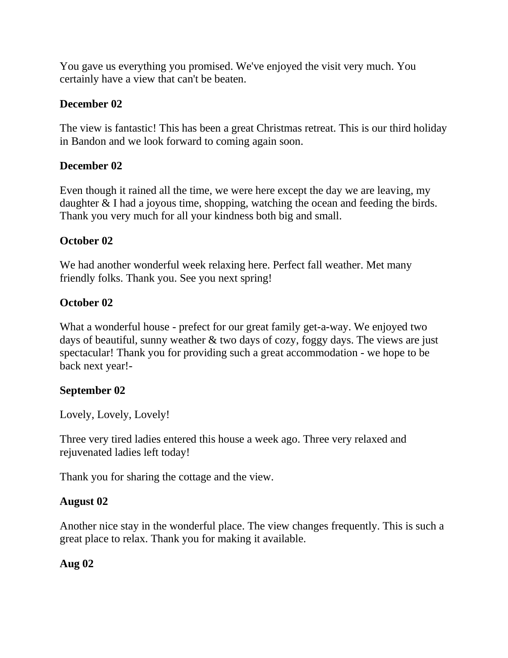You gave us everything you promised. We've enjoyed the visit very much. You certainly have a view that can't be beaten.

# **December 02**

The view is fantastic! This has been a great Christmas retreat. This is our third holiday in Bandon and we look forward to coming again soon.

# **December 02**

Even though it rained all the time, we were here except the day we are leaving, my daughter & I had a joyous time, shopping, watching the ocean and feeding the birds. Thank you very much for all your kindness both big and small.

# **October 02**

We had another wonderful week relaxing here. Perfect fall weather. Met many friendly folks. Thank you. See you next spring!

# **October 02**

What a wonderful house - prefect for our great family get-a-way. We enjoyed two days of beautiful, sunny weather & two days of cozy, foggy days. The views are just spectacular! Thank you for providing such a great accommodation - we hope to be back next year!-

# **September 02**

Lovely, Lovely, Lovely!

Three very tired ladies entered this house a week ago. Three very relaxed and rejuvenated ladies left today!

Thank you for sharing the cottage and the view.

# **August 02**

Another nice stay in the wonderful place. The view changes frequently. This is such a great place to relax. Thank you for making it available.

# **Aug 02**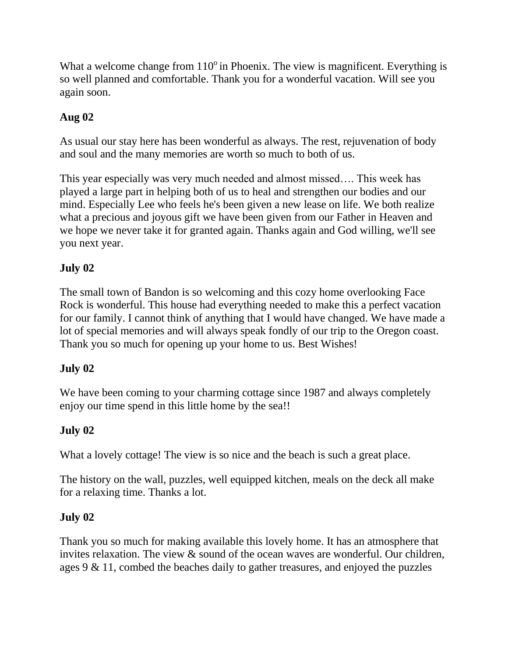What a welcome change from  $110^{\circ}$  in Phoenix. The view is magnificent. Everything is so well planned and comfortable. Thank you for a wonderful vacation. Will see you again soon.

# **Aug 02**

As usual our stay here has been wonderful as always. The rest, rejuvenation of body and soul and the many memories are worth so much to both of us.

This year especially was very much needed and almost missed…. This week has played a large part in helping both of us to heal and strengthen our bodies and our mind. Especially Lee who feels he's been given a new lease on life. We both realize what a precious and joyous gift we have been given from our Father in Heaven and we hope we never take it for granted again. Thanks again and God willing, we'll see you next year.

# **July 02**

The small town of Bandon is so welcoming and this cozy home overlooking Face Rock is wonderful. This house had everything needed to make this a perfect vacation for our family. I cannot think of anything that I would have changed. We have made a lot of special memories and will always speak fondly of our trip to the Oregon coast. Thank you so much for opening up your home to us. Best Wishes!

# **July 02**

We have been coming to your charming cottage since 1987 and always completely enjoy our time spend in this little home by the sea!!

# **July 02**

What a lovely cottage! The view is so nice and the beach is such a great place.

The history on the wall, puzzles, well equipped kitchen, meals on the deck all make for a relaxing time. Thanks a lot.

# **July 02**

Thank you so much for making available this lovely home. It has an atmosphere that invites relaxation. The view & sound of the ocean waves are wonderful. Our children, ages 9 & 11, combed the beaches daily to gather treasures, and enjoyed the puzzles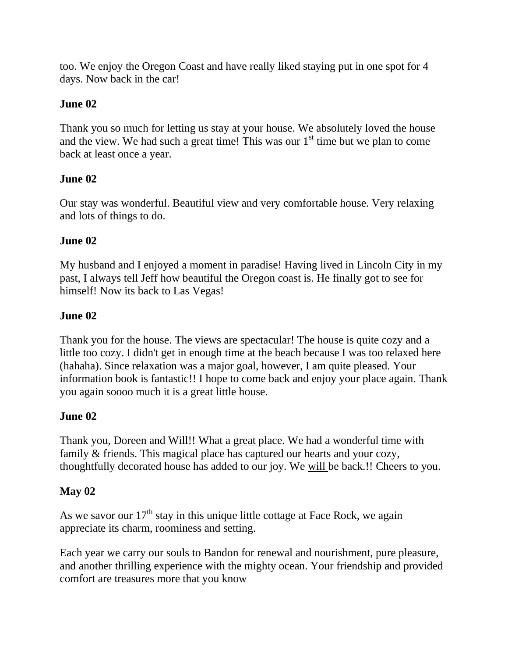too. We enjoy the Oregon Coast and have really liked staying put in one spot for 4 days. Now back in the car!

# **June 02**

Thank you so much for letting us stay at your house. We absolutely loved the house and the view. We had such a great time! This was our  $1<sup>st</sup>$  time but we plan to come back at least once a year.

# **June 02**

Our stay was wonderful. Beautiful view and very comfortable house. Very relaxing and lots of things to do.

# **June 02**

My husband and I enjoyed a moment in paradise! Having lived in Lincoln City in my past, I always tell Jeff how beautiful the Oregon coast is. He finally got to see for himself! Now its back to Las Vegas!

# **June 02**

Thank you for the house. The views are spectacular! The house is quite cozy and a little too cozy. I didn't get in enough time at the beach because I was too relaxed here (hahaha). Since relaxation was a major goal, however, I am quite pleased. Your information book is fantastic!! I hope to come back and enjoy your place again. Thank you again soooo much it is a great little house.

### **June 02**

Thank you, Doreen and Will!! What a great place. We had a wonderful time with family & friends. This magical place has captured our hearts and your cozy, thoughtfully decorated house has added to our joy. We will be back.!! Cheers to you.

### **May 02**

As we savor our  $17<sup>th</sup>$  stay in this unique little cottage at Face Rock, we again appreciate its charm, roominess and setting.

Each year we carry our souls to Bandon for renewal and nourishment, pure pleasure, and another thrilling experience with the mighty ocean. Your friendship and provided comfort are treasures more that you know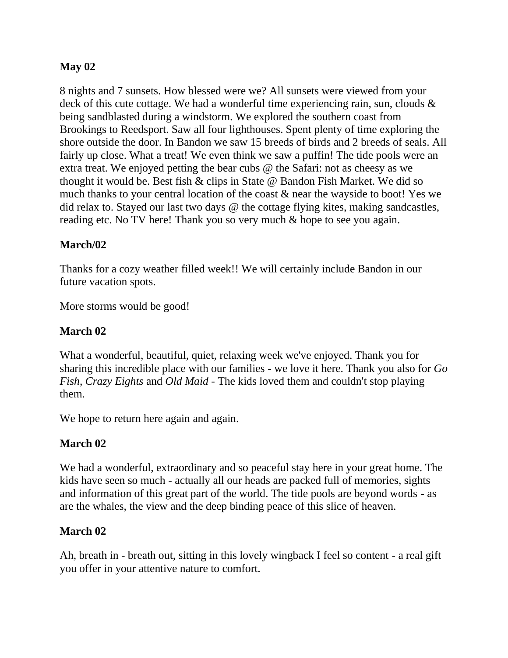### **May 02**

8 nights and 7 sunsets. How blessed were we? All sunsets were viewed from your deck of this cute cottage. We had a wonderful time experiencing rain, sun, clouds & being sandblasted during a windstorm. We explored the southern coast from Brookings to Reedsport. Saw all four lighthouses. Spent plenty of time exploring the shore outside the door. In Bandon we saw 15 breeds of birds and 2 breeds of seals. All fairly up close. What a treat! We even think we saw a puffin! The tide pools were an extra treat. We enjoyed petting the bear cubs @ the Safari: not as cheesy as we thought it would be. Best fish & clips in State @ Bandon Fish Market. We did so much thanks to your central location of the coast & near the wayside to boot! Yes we did relax to. Stayed our last two days @ the cottage flying kites, making sandcastles, reading etc. No TV here! Thank you so very much & hope to see you again.

# **March/02**

Thanks for a cozy weather filled week!! We will certainly include Bandon in our future vacation spots.

More storms would be good!

# **March 02**

What a wonderful, beautiful, quiet, relaxing week we've enjoyed. Thank you for sharing this incredible place with our families - we love it here. Thank you also for *Go Fish*, *Crazy Eights* and *Old Maid* - The kids loved them and couldn't stop playing them.

We hope to return here again and again.

# **March 02**

We had a wonderful, extraordinary and so peaceful stay here in your great home. The kids have seen so much - actually all our heads are packed full of memories, sights and information of this great part of the world. The tide pools are beyond words - as are the whales, the view and the deep binding peace of this slice of heaven.

### **March 02**

Ah, breath in - breath out, sitting in this lovely wingback I feel so content - a real gift you offer in your attentive nature to comfort.